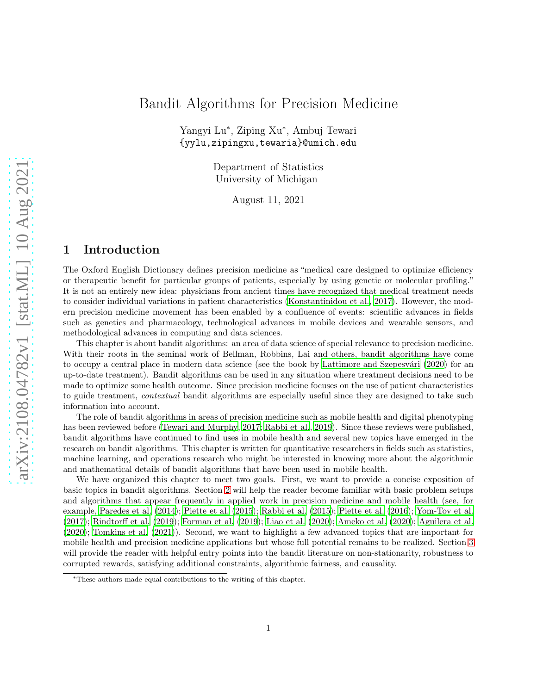# Bandit Algorithms for Precision Medicine

Yangyi Lu<sup>∗</sup> , Ziping Xu<sup>∗</sup> , Ambuj Tewari {yylu,zipingxu,tewaria}@umich.edu

> Department of Statistics University of Michigan

> > August 11, 2021

# 1 Introduction

The Oxford English Dictionary defines precision medicine as "medical care designed to optimize efficiency or therapeutic benefit for particular groups of patients, especially by using genetic or molecular profiling." It is not an entirely new idea: physicians from ancient times have recognized that medical treatment needs to consider individual variations in patient characteristics [\(Konstantinidou et al.](#page-35-0), [2017\)](#page-35-0). However, the modern precision medicine movement has been enabled by a confluence of events: scientific advances in fields such as genetics and pharmacology, technological advances in mobile devices and wearable sensors, and methodological advances in computing and data sciences.

This chapter is about bandit algorithms: an area of data science of special relevance to precision medicine. With their roots in the seminal work of Bellman, Robbins, Lai and others, bandit algorithms have come to occupy a central place in modern data science (see the book by [Lattimore and Szepesvári \(2020\)](#page-35-1) for an up-to-date treatment). Bandit algorithms can be used in any situation where treatment decisions need to be made to optimize some health outcome. Since precision medicine focuses on the use of patient characteristics to guide treatment, *contextual* bandit algorithms are especially useful since they are designed to take such information into account.

The role of bandit algorithms in areas of precision medicine such as mobile health and digital phenotyping has been reviewed before [\(Tewari and Murphy](#page-37-0), [2017;](#page-37-0) [Rabbi et al.](#page-37-1), [2019\)](#page-37-1). Since these reviews were published, bandit algorithms have continued to find uses in mobile health and several new topics have emerged in the research on bandit algorithms. This chapter is written for quantitative researchers in fields such as statistics, machine learning, and operations research who might be interested in knowing more about the algorithmic and mathematical details of bandit algorithms that have been used in mobile health.

We have organized this chapter to meet two goals. First, we want to provide a concise exposition of basic topics in bandit algorithms. Section [2](#page-1-0) will help the reader become familiar with basic problem setups and algorithms that appear frequently in applied work in precision medicine and mobile health (see, for example, [Paredes et al. \(2014\)](#page-36-0); [Piette et al. \(2015](#page-37-2)); [Rabbi et al. \(2015\)](#page-37-3); [Piette et al. \(2016](#page-37-4)); [Yom-Tov et al.](#page-38-0) [\(2017\)](#page-38-0); [Rindtorff et al. \(2019](#page-37-5)); [Forman et al. \(2019\)](#page-33-0); [Liao et](#page-36-1) al. [\(2020](#page-36-1)); [Ameko et al. \(2020\)](#page-32-0); [Aguilera et al.](#page-32-1) [\(2020\)](#page-32-1); [Tomkins et al. \(2021\)](#page-37-6)). Second, we want to highlight a few advanced topics that are important for mobile health and precision medicine applications but whose full potential remains to be realized. Section [3](#page-22-0) will provide the reader with helpful entry points into the bandit literature on non-stationarity, robustness to corrupted rewards, satisfying additional constraints, algorithmic fairness, and causality.

<sup>∗</sup>These authors made equal contributions to the writing of this chapter.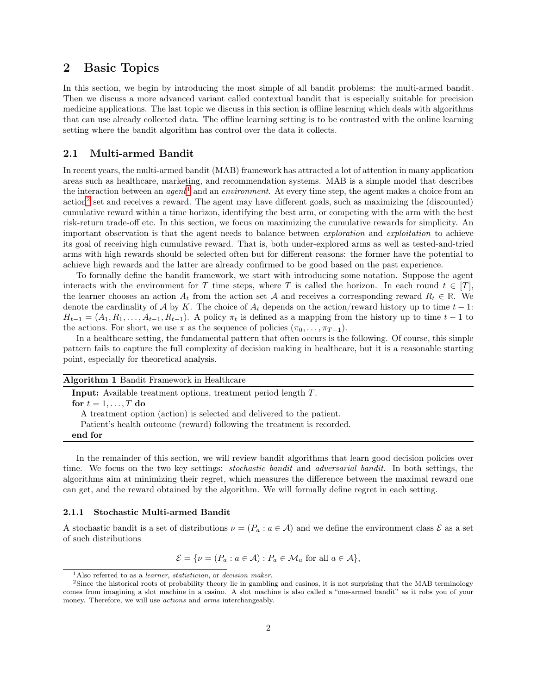# <span id="page-1-0"></span>2 Basic Topics

In this section, we begin by introducing the most simple of all bandit problems: the multi-armed bandit. Then we discuss a more advanced variant called contextual bandit that is especially suitable for precision medicine applications. The last topic we discuss in this section is offline learning which deals with algorithms that can use already collected data. The offline learning setting is to be contrasted with the online learning setting where the bandit algorithm has control over the data it collects.

## <span id="page-1-3"></span>2.1 Multi-armed Bandit

In recent years, the multi-armed bandit (MAB) framework has attracted a lot of attention in many application areas such as healthcare, marketing, and recommendation systems. MAB is a simple model that describes the interaction between an *agent*<sup>[1](#page-1-1)</sup> and an *environment*. At every time step, the agent makes a choice from an action<sup>[2](#page-1-2)</sup> set and receives a reward. The agent may have different goals, such as maximizing the (discounted) cumulative reward within a time horizon, identifying the best arm, or competing with the arm with the best risk-return trade-off etc. In this section, we focus on maximizing the cumulative rewards for simplicity. An important observation is that the agent needs to balance between exploration and exploitation to achieve its goal of receiving high cumulative reward. That is, both under-explored arms as well as tested-and-tried arms with high rewards should be selected often but for different reasons: the former have the potential to achieve high rewards and the latter are already confirmed to be good based on the past experience.

To formally define the bandit framework, we start with introducing some notation. Suppose the agent interacts with the environment for T time steps, where T is called the horizon. In each round  $t \in [T]$ , the learner chooses an action  $A_t$  from the action set A and receives a corresponding reward  $R_t \in \mathbb{R}$ . We denote the cardinality of A by K. The choice of  $A_t$  depends on the action/reward history up to time  $t-1$ :  $H_{t-1} = (A_1, R_1, \ldots, A_{t-1}, R_{t-1}).$  A policy  $\pi_t$  is defined as a mapping from the history up to time  $t-1$  to the actions. For short, we use  $\pi$  as the sequence of policies  $(\pi_0, \ldots, \pi_{T-1})$ .

In a healthcare setting, the fundamental pattern that often occurs is the following. Of course, this simple pattern fails to capture the full complexity of decision making in healthcare, but it is a reasonable starting point, especially for theoretical analysis.

| Algorithm 1 Bandit Framework in Healthcare                             |
|------------------------------------------------------------------------|
| <b>Input:</b> Available treatment options, treatment period length T.  |
| for $t = 1, \ldots, T$ do                                              |
| A treatment option (action) is selected and delivered to the patient.  |
| Patient's health outcome (reward) following the treatment is recorded. |
| end for                                                                |

In the remainder of this section, we will review bandit algorithms that learn good decision policies over time. We focus on the two key settings: *stochastic bandit* and *adversarial bandit*. In both settings, the algorithms aim at minimizing their regret, which measures the difference between the maximal reward one can get, and the reward obtained by the algorithm. We will formally define regret in each setting.

#### 2.1.1 Stochastic Multi-armed Bandit

A stochastic bandit is a set of distributions  $\nu = (P_a : a \in \mathcal{A})$  and we define the environment class  $\mathcal E$  as a set of such distributions

$$
\mathcal{E} = \{ \nu = (P_a : a \in \mathcal{A}) : P_a \in \mathcal{M}_a \text{ for all } a \in \mathcal{A} \},
$$

<span id="page-1-1"></span> $<sup>1</sup>$ Also referred to as a learner, statistician, or decision maker.</sup>

<span id="page-1-2"></span><sup>&</sup>lt;sup>2</sup>Since the historical roots of probability theory lie in gambling and casinos, it is not surprising that the MAB terminology comes from imagining a slot machine in a casino. A slot machine is also called a "one-armed bandit" as it robs you of your money. Therefore, we will use actions and arms interchangeably.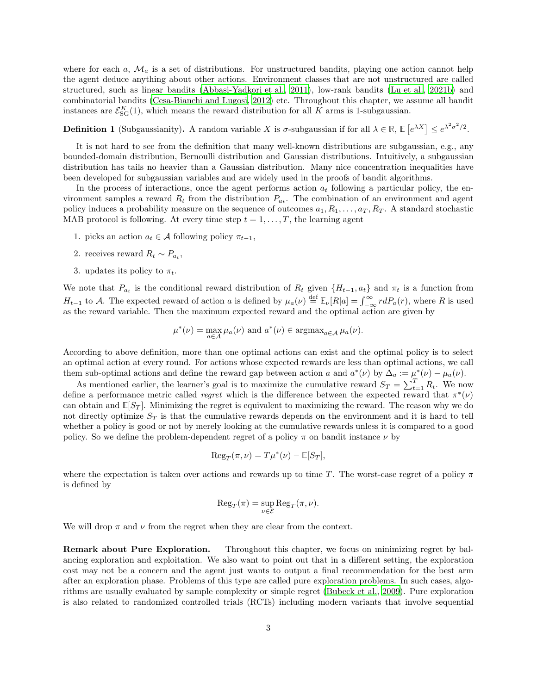where for each a,  $\mathcal{M}_a$  is a set of distributions. For unstructured bandits, playing one action cannot help the agent deduce anything about other actions. Environment classes that are not unstructured are called structured, such as linear bandits [\(Abbasi-Yadkori et al.,](#page-31-0) [2011](#page-31-0)), low-rank bandits [\(Lu et al., 2021b\)](#page-36-2) and combinatorial bandits [\(Cesa-Bianchi and Lugosi, 2012](#page-33-1)) etc. Throughout this chapter, we assume all bandit instances are  $\mathcal{E}_{SG}^{K}(1)$ , which means the reward distribution for all K arms is 1-subgaussian.

**Definition 1** (Subgaussianity). A random variable X is  $\sigma$ -subgaussian if for all  $\lambda \in \mathbb{R}$ ,  $\mathbb{E}[e^{\lambda X}] \leq e^{\lambda^2 \sigma^2/2}$ .

It is not hard to see from the definition that many well-known distributions are subgaussian, e.g., any bounded-domain distribution, Bernoulli distribution and Gaussian distributions. Intuitively, a subgaussian distribution has tails no heavier than a Gaussian distribution. Many nice concentration inequalities have been developed for subgaussian variables and are widely used in the proofs of bandit algorithms.

In the process of interactions, once the agent performs action  $a_t$  following a particular policy, the environment samples a reward  $R_t$  from the distribution  $P_{a_t}$ . The combination of an environment and agent policy induces a probability measure on the sequence of outcomes  $a_1, R_1, \ldots, a_T, R_T$ . A standard stochastic MAB protocol is following. At every time step  $t = 1, \ldots, T$ , the learning agent

- 1. picks an action  $a_t \in \mathcal{A}$  following policy  $\pi_{t-1}$ ,
- 2. receives reward  $R_t \sim P_{a_t}$ ,
- 3. updates its policy to  $\pi_t$ .

We note that  $P_{a_t}$  is the conditional reward distribution of  $R_t$  given  $\{H_{t-1}, a_t\}$  and  $\pi_t$  is a function from  $H_{t-1}$  to A. The expected reward of action a is defined by  $\mu_a(\nu) \stackrel{\text{def}}{=} \mathbb{E}_{\nu}[R|a] = \int_{-\infty}^{\infty} r dP_a(r)$ , where R is used as the reward variable. Then the maximum expected reward and the optimal action are given by

$$
\mu^*(\nu) = \max_{a \in \mathcal{A}} \mu_a(\nu) \text{ and } a^*(\nu) \in \operatorname{argmax}_{a \in \mathcal{A}} \mu_a(\nu).
$$

According to above definition, more than one optimal actions can exist and the optimal policy is to select an optimal action at every round. For actions whose expected rewards are less than optimal actions, we call them sub-optimal actions and define the reward gap between action a and  $a^*(\nu)$  by  $\Delta_a := \mu^*(\nu) - \mu_a(\nu)$ .

As mentioned earlier, the learner's goal is to maximize the cumulative reward  $S_T = \sum_{t=1}^T R_t$ . We now define a performance metric called *regret* which is the difference between the expected reward that  $\pi^*(\nu)$ can obtain and  $\mathbb{E}[S_T]$ . Minimizing the regret is equivalent to maximizing the reward. The reason why we do not directly optimize  $S_T$  is that the cumulative rewards depends on the environment and it is hard to tell whether a policy is good or not by merely looking at the cumulative rewards unless it is compared to a good policy. So we define the problem-dependent regret of a policy  $\pi$  on bandit instance  $\nu$  by

$$
\mathrm{Reg}_T(\pi,\nu)=T\mu^*(\nu)-\mathbb{E}[S_T],
$$

where the expectation is taken over actions and rewards up to time T. The worst-case regret of a policy  $\pi$ is defined by

$$
\mathrm{Reg}_T(\pi)=\sup_{\nu\in\mathcal{E}}\mathrm{Reg}_T(\pi,\nu).
$$

We will drop  $\pi$  and  $\nu$  from the regret when they are clear from the context.

Remark about Pure Exploration. Throughout this chapter, we focus on minimizing regret by balancing exploration and exploitation. We also want to point out that in a different setting, the exploration cost may not be a concern and the agent just wants to output a final recommendation for the best arm after an exploration phase. Problems of this type are called pure exploration problems. In such cases, algorithms are usually evaluated by sample complexity or simple regret [\(Bubeck et al., 2009](#page-32-2)). Pure exploration is also related to randomized controlled trials (RCTs) including modern variants that involve sequential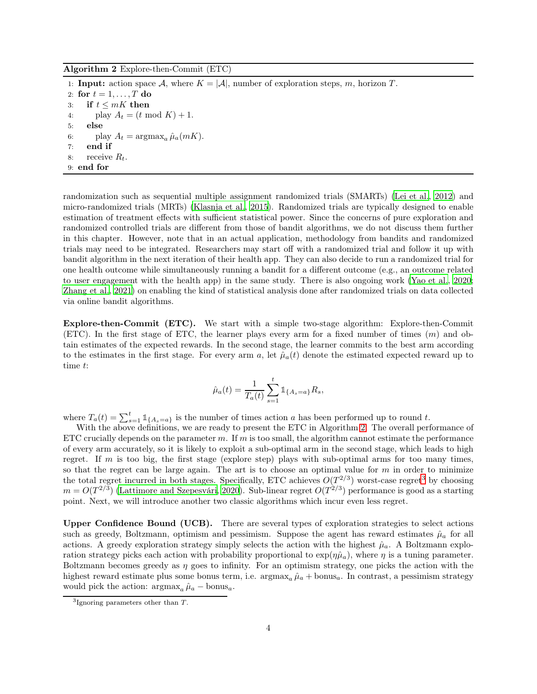Algorithm 2 Explore-then-Commit (ETC)

1: **Input:** action space A, where  $K = |A|$ , number of exploration steps, m, horizon T. 2: for  $t = 1, \ldots, T$  do 3: if  $t \leq mK$  then<br>4: play  $A_t = (t \text{ m})$ play  $A_t = (t \mod K) + 1$ . 5: else 6: play  $A_t = \argmax_a \hat{\mu}_a(mK)$ . 7: end if 8: receive  $R_t$ . 9: end for

<span id="page-3-0"></span>randomization such as sequential multiple assignment randomized trials (SMARTs) [\(Lei et al.](#page-35-2), [2012\)](#page-35-2) and micro-randomized trials (MRTs) [\(Klasnja et al.](#page-35-3), [2015\)](#page-35-3). Randomized trials are typically designed to enable estimation of treatment effects with sufficient statistical power. Since the concerns of pure exploration and randomized controlled trials are different from those of bandit algorithms, we do not discuss them further in this chapter. However, note that in an actual application, methodology from bandits and randomized trials may need to be integrated. Researchers may start off with a randomized trial and follow it up with bandit algorithm in the next iteration of their health app. They can also decide to run a randomized trial for one health outcome while simultaneously running a bandit for a different outcome (e.g., an outcome related to user engagement with the health app) in the same study. There is also ongoing work [\(Yao et al., 2020](#page-38-1); [Zhang et al., 2021](#page-38-2)) on enabling the kind of statistical analysis done after randomized trials on data collected via online bandit algorithms.

Explore-then-Commit (ETC). We start with a simple two-stage algorithm: Explore-then-Commit (ETC). In the first stage of ETC, the learner plays every arm for a fixed number of times  $(m)$  and obtain estimates of the expected rewards. In the second stage, the learner commits to the best arm according to the estimates in the first stage. For every arm a, let  $\hat{\mu}_a(t)$  denote the estimated expected reward up to time t:

$$
\hat{\mu}_a(t) = \frac{1}{T_a(t)} \sum_{s=1}^t \mathbb{1}_{\{A_s = a\}} R_s,
$$

where  $T_a(t) = \sum_{s=1}^t \mathbb{1}_{\{A_s=a\}}$  is the number of times action a has been performed up to round t.

With the above definitions, we are ready to present the ETC in Algorithm [2.](#page-3-0) The overall performance of ETC crucially depends on the parameter m. If m is too small, the algorithm cannot estimate the performance of every arm accurately, so it is likely to exploit a sub-optimal arm in the second stage, which leads to high regret. If  $m$  is too big, the first stage (explore step) plays with sub-optimal arms for too many times, so that the regret can be large again. The art is to choose an optimal value for  $m$  in order to minimize the total regret incurred in both stages. Specifically, ETC achieves  $O(T^{2/3})$  $O(T^{2/3})$  $O(T^{2/3})$  worst-case regret<sup>3</sup> by choosing  $m = O(T^{2/3})$  [\(Lattimore and Szepesvári, 2020\)](#page-35-1). Sub-linear regret  $O(T^{2/3})$  performance is good as a starting point. Next, we will introduce another two classic algorithms which incur even less regret.

Upper Confidence Bound (UCB). There are several types of exploration strategies to select actions such as greedy, Boltzmann, optimism and pessimism. Suppose the agent has reward estimates  $\hat{\mu}_a$  for all actions. A greedy exploration strategy simply selects the action with the highest  $\hat{\mu}_a$ . A Boltzmann exploration strategy picks each action with probability proportional to  $\exp(\eta \hat{\mu}_a)$ , where  $\eta$  is a tuning parameter. Boltzmann becomes greedy as  $\eta$  goes to infinity. For an optimism strategy, one picks the action with the highest reward estimate plus some bonus term, i.e.  $\arg \max_a \hat{\mu}_a + \text{bonus}_a$ . In contrast, a pessimism strategy would pick the action:  $\arg \max_a \hat{\mu}_a - \text{bonus}_a$ .

<span id="page-3-1"></span> ${}^{3}$ Ignoring parameters other than  $T$ .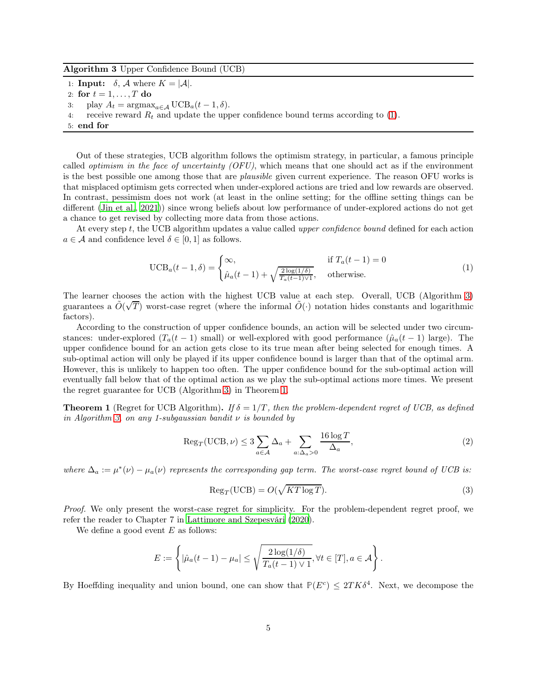Algorithm 3 Upper Confidence Bound (UCB)

1: **Input:**  $\delta$ ,  $\mathcal{A}$  where  $K = |\mathcal{A}|$ .

2: for  $t = 1, \ldots, T$  do

- 3: play  $A_t = \operatorname{argmax}_{a \in \mathcal{A}} \text{UCB}_a(t-1, \delta)$ .<br>4: receive reward  $R_t$  and update the upp
- <span id="page-4-1"></span>receive reward  $R_t$  and update the upper confidence bound terms according to [\(1\)](#page-4-0).

Out of these strategies, UCB algorithm follows the optimism strategy, in particular, a famous principle called *optimism in the face of uncertainty (OFU)*, which means that one should act as if the environment is the best possible one among those that are *plausible* given current experience. The reason OFU works is that misplaced optimism gets corrected when under-explored actions are tried and low rewards are observed. In contrast, pessimism does not work (at least in the online setting; for the offline setting things can be different [\(Jin et al.](#page-34-0), [2021\)](#page-34-0)) since wrong beliefs about low performance of under-explored actions do not get a chance to get revised by collecting more data from those actions.

At every step t, the UCB algorithm updates a value called *upper confidence bound* defined for each action  $a \in \mathcal{A}$  and confidence level  $\delta \in [0,1]$  as follows.

<span id="page-4-0"></span>
$$
\text{UCB}_a(t-1,\delta) = \begin{cases} \infty, & \text{if } T_a(t-1) = 0\\ \hat{\mu}_a(t-1) + \sqrt{\frac{2\log(1/\delta)}{T_a(t-1)\vee 1}}, & \text{otherwise.} \end{cases}
$$
(1)

The learner chooses the action with the highest UCB value at each step. Overall, UCB (Algorithm [3\)](#page-4-1) guarantees a  $\tilde{O}(\sqrt{T})$  worst-case regret (where the informal  $\tilde{O}(\cdot)$  notation hides constants and logarithmic factors).

According to the construction of upper confidence bounds, an action will be selected under two circumstances: under-explored  $(T_a(t-1)$  small) or well-explored with good performance  $(\hat{\mu}_a(t-1)$  large). The upper confidence bound for an action gets close to its true mean after being selected for enough times. A sub-optimal action will only be played if its upper confidence bound is larger than that of the optimal arm. However, this is unlikely to happen too often. The upper confidence bound for the sub-optimal action will eventually fall below that of the optimal action as we play the sub-optimal actions more times. We present the regret guarantee for UCB (Algorithm [3\)](#page-4-1) in Theorem [1.](#page-4-2)

<span id="page-4-2"></span>**Theorem 1** (Regret for UCB Algorithm). If  $\delta = 1/T$ , then the problem-dependent regret of UCB, as defined in Algorithm [3,](#page-4-1) on any 1-subgaussian bandit  $\nu$  is bounded by

$$
\operatorname{Reg}_{T}(\operatorname{UCB}, \nu) \le 3 \sum_{a \in \mathcal{A}} \Delta_a + \sum_{a: \Delta_a > 0} \frac{16 \log T}{\Delta_a},\tag{2}
$$

where  $\Delta_a := \mu^*(\nu) - \mu_a(\nu)$  represents the corresponding gap term. The worst-case regret bound of UCB is:

$$
Reg_T(UCB) = O(\sqrt{KT \log T}).
$$
\n(3)

Proof. We only present the worst-case regret for simplicity. For the problem-dependent regret proof, we refer the reader to Chapter 7 in [Lattimore and Szepesvári \(2020](#page-35-1)).

We define a good event  $E$  as follows:

$$
E := \left\{ |\hat{\mu}_a(t-1) - \mu_a| \le \sqrt{\frac{2 \log(1/\delta)}{T_a(t-1) \vee 1}}, \forall t \in [T], a \in \mathcal{A} \right\}.
$$

By Hoeffding inequality and union bound, one can show that  $P(E^c) \leq 2TK\delta^4$ . Next, we decompose the

<sup>5:</sup> end for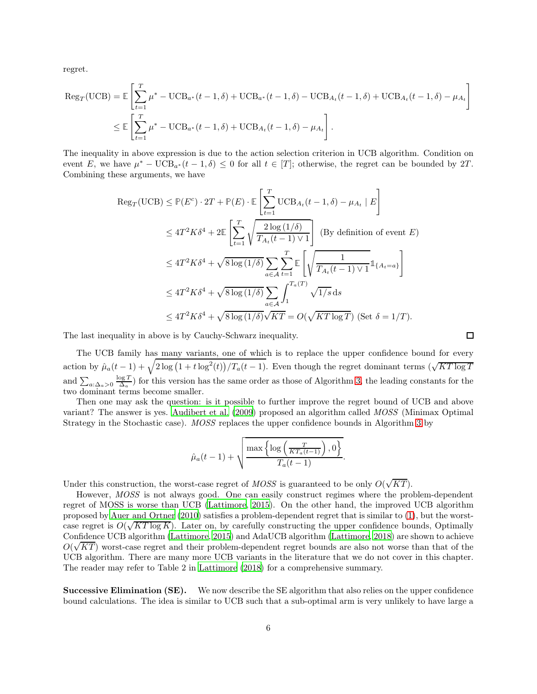regret.

$$
\operatorname{Reg}_{T}(\text{UCB}) = \mathbb{E}\left[\sum_{t=1}^{T} \mu^* - \text{UCB}_{a^*}(t-1,\delta) + \text{UCB}_{a^*}(t-1,\delta) - \text{UCB}_{A_t}(t-1,\delta) + \text{UCB}_{A_t}(t-1,\delta) - \mu_{A_t}\right]
$$
  

$$
\leq \mathbb{E}\left[\sum_{t=1}^{T} \mu^* - \text{UCB}_{a^*}(t-1,\delta) + \text{UCB}_{A_t}(t-1,\delta) - \mu_{A_t}\right].
$$

The inequality in above expression is due to the action selection criterion in UCB algorithm. Condition on event E, we have  $\mu^* - \text{UCB}_{a^*}(t-1,\delta) \leq 0$  for all  $t \in [T]$ ; otherwise, the regret can be bounded by 2T. Combining these arguments, we have

$$
\operatorname{Reg}_{T}(\text{UCB}) \leq \mathbb{P}(E^{c}) \cdot 2T + \mathbb{P}(E) \cdot \mathbb{E} \left[ \sum_{t=1}^{T} \text{UCB}_{A_{t}}(t-1,\delta) - \mu_{A_{t}} \mid E \right]
$$
  
\n
$$
\leq 4T^{2}K\delta^{4} + 2\mathbb{E} \left[ \sum_{t=1}^{T} \sqrt{\frac{2\log(1/\delta)}{T_{A_{t}}(t-1) \vee 1}} \right] \text{ (By definition of event } E)
$$
  
\n
$$
\leq 4T^{2}K\delta^{4} + \sqrt{8\log(1/\delta)} \sum_{a \in \mathcal{A}} \sum_{t=1}^{T} \mathbb{E} \left[ \sqrt{\frac{1}{T_{A_{t}}(t-1) \vee 1}} \mathbb{1}_{\{A_{t}=a\}} \right]
$$
  
\n
$$
\leq 4T^{2}K\delta^{4} + \sqrt{8\log(1/\delta)} \sum_{a \in \mathcal{A}} \int_{1}^{T_{a}(T)} \sqrt{1/s} ds
$$
  
\n
$$
\leq 4T^{2}K\delta^{4} + \sqrt{8\log(1/\delta)} \sqrt{KT} = O(\sqrt{KT \log T}) \text{ (Set } \delta = 1/T).
$$

The last inequality in above is by Cauchy-Schwarz inequality.

The UCB family has many variants, one of which is to replace the upper confidence bound for every

 $\Box$ 

action by  $\hat{\mu}_a(t-1) + \sqrt{2 \log (1 + t \log^2(t)) / T_a(t-1)}$ . Even though the regret dominant terms  $(\sqrt{KT \log T})$ and  $\sum_{a:\Delta_a>0} \frac{\log T}{\Delta_a}$  for this version has the same order as those of Algorithm [3,](#page-4-1) the leading constants for the two dominant terms become smaller.

Then one may ask the question: is it possible to further improve the regret bound of UCB and above variant? The answer is yes. [Audibert et al. \(2009](#page-32-3)) proposed an algorithm called MOSS (Minimax Optimal Strategy in the Stochastic case). MOSS replaces the upper confidence bounds in Algorithm [3](#page-4-1) by

$$
\hat{\mu}_a(t-1) + \sqrt{\frac{\max\left\{\log\left(\frac{T}{KT_a(t-1)}\right),0\right\}}{T_a(t-1)}}.
$$

Under this construction, the worst-case regret of MOSS is guaranteed to be only  $O(\sqrt{KT})$ .

However, MOSS is not always good. One can easily construct regimes where the problem-dependent regret of MOSS is worse than UCB [\(Lattimore, 2015\)](#page-35-4). On the other hand, the improved UCB algorithm proposed by [Auer and Ortner \(2010\)](#page-32-4) satisfies a problem-dependent regret that is similar to [\(1\)](#page-4-0), but the worstcase regret is  $O(\sqrt{KT \log K})$ . Later on, by carefully constructing the upper confidence bounds, Optimally Confidence UCB algorithm [\(Lattimore, 2015\)](#page-35-4) and AdaUCB algorithm [\(Lattimore](#page-35-5), [2018](#page-35-5)) are shown to achieve  $O(\sqrt{KT})$  worst-case regret and their problem-dependent regret bounds are also not worse than that of the UCB algorithm. There are many more UCB variants in the literature that we do not cover in this chapter. The reader may refer to Table 2 in [Lattimore \(2018\)](#page-35-5) for a comprehensive summary.

Successive Elimination (SE). We now describe the SE algorithm that also relies on the upper confidence bound calculations. The idea is similar to UCB such that a sub-optimal arm is very unlikely to have large a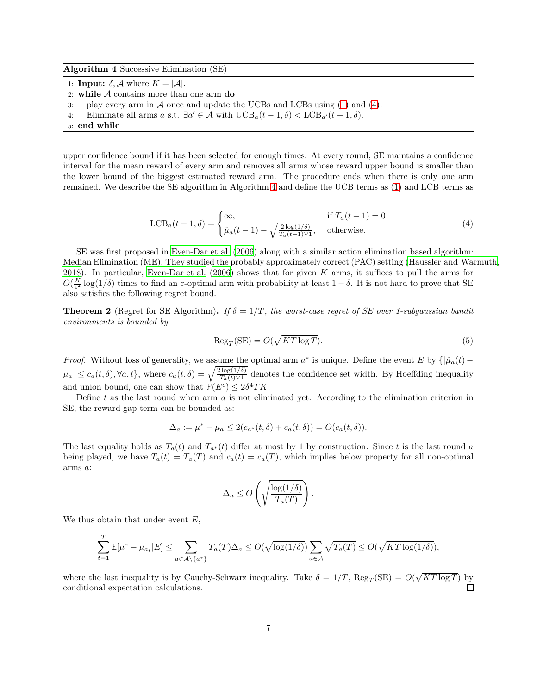Algorithm 4 Successive Elimination (SE)

- 1: **Input:**  $\delta$ ,  $\mathcal{A}$  where  $K = |\mathcal{A}|$ .
- 2: while  $\mathcal A$  contains more than one arm **do**<br>3. play every arm in  $\mathcal A$  once and undate t
- 3: play every arm in A once and update the UCBs and LCBs using [\(1\)](#page-4-0) and [\(4\)](#page-6-0).<br>4: Eliminate all arms a s.t.  $\exists a' \in A$  with UCB<sub>c</sub> $(t-1,\delta) <$ LCB<sub>c</sub><sup> $t$ </sup> $(t-1,\delta)$ .
- <span id="page-6-1"></span>4: Eliminate all arms  $a$  s.t.  $\exists a' \in \mathcal{A}$  with  $UCB_a(t-1,\delta) < LCB_{a'}(t-1,\delta)$ .
- 5: end while

upper confidence bound if it has been selected for enough times. At every round, SE maintains a confidence interval for the mean reward of every arm and removes all arms whose reward upper bound is smaller than the lower bound of the biggest estimated reward arm. The procedure ends when there is only one arm remained. We describe the SE algorithm in Algorithm [4](#page-6-1) and define the UCB terms as [\(1\)](#page-4-0) and LCB terms as

$$
\text{LCB}_a(t-1,\delta) = \begin{cases} \infty, & \text{if } T_a(t-1) = 0\\ \hat{\mu}_a(t-1) - \sqrt{\frac{2\log(1/\delta)}{T_a(t-1)\vee 1}}, & \text{otherwise.} \end{cases}
$$
(4)

SE was first proposed in [Even-Dar et al. \(2006\)](#page-33-2) along with a similar action elimination based algorithm: Median Elimination (ME). They studied the probably approximately correct (PAC) setting [\(Haussler and Warmuth,](#page-34-1) [2018\)](#page-34-1). In particular, Even-Dar et al.  $(2006)$  shows that for given K arms, it suffices to pull the arms for  $O(\frac{K}{\varepsilon^2} \log(1/\delta))$  times to find an  $\varepsilon$ -optimal arm with probability at least  $1-\delta$ . It is not hard to prove that SE also satisfies the following regret bound.

**Theorem 2** (Regret for SE Algorithm). If  $\delta = 1/T$ , the worst-case regret of SE over 1-subgaussian bandity environments is bounded by

<span id="page-6-0"></span>
$$
\operatorname{Reg}_{T}(\operatorname{SE}) = O(\sqrt{KT \log T}).\tag{5}
$$

*Proof.* Without loss of generality, we assume the optimal arm  $a^*$  is unique. Define the event E by  $\{|\hat{\mu}_a(t) - \hat{\mu}_a(t)\rangle\}$  $\mu_a \leq c_a(t,\delta), \forall a,t\}$ , where  $c_a(t,\delta) = \sqrt{\frac{2 \log(1/\delta)}{T_a(t) \vee 1}}$  denotes the confidence set width. By Hoeffding inequality and union bound, one can show that  $P(E^c) \leq 2\delta^4 TK$ .

Define t as the last round when arm  $a$  is not eliminated yet. According to the elimination criterion in SE, the reward gap term can be bounded as:

$$
\Delta_a := \mu^* - \mu_a \le 2(c_{a^*}(t,\delta) + c_a(t,\delta)) = O(c_a(t,\delta)).
$$

The last equality holds as  $T_a(t)$  and  $T_{a^*}(t)$  differ at most by 1 by construction. Since t is the last round a being played, we have  $T_a(t) = T_a(T)$  and  $c_a(t) = c_a(T)$ , which implies below property for all non-optimal arms a:

$$
\Delta_a \leq O\left(\sqrt{\frac{\log(1/\delta)}{T_a(T)}}\right).
$$

We thus obtain that under event  $E$ ,

$$
\sum_{t=1}^T \mathbb{E}[\mu^* - \mu_{a_t}|E] \le \sum_{a \in \mathcal{A} \setminus \{a^*\}} T_a(T) \Delta_a \le O(\sqrt{\log(1/\delta)}) \sum_{a \in \mathcal{A}} \sqrt{T_a(T)} \le O(\sqrt{KT \log(1/\delta)}),
$$

where the last inequality is by Cauchy-Schwarz inequality. Take  $\delta = 1/T$ ,  $\text{Reg}_{T}(\text{SE}) = O(\sqrt{KT \log T})$  by conditional expectation calculations.  $\Box$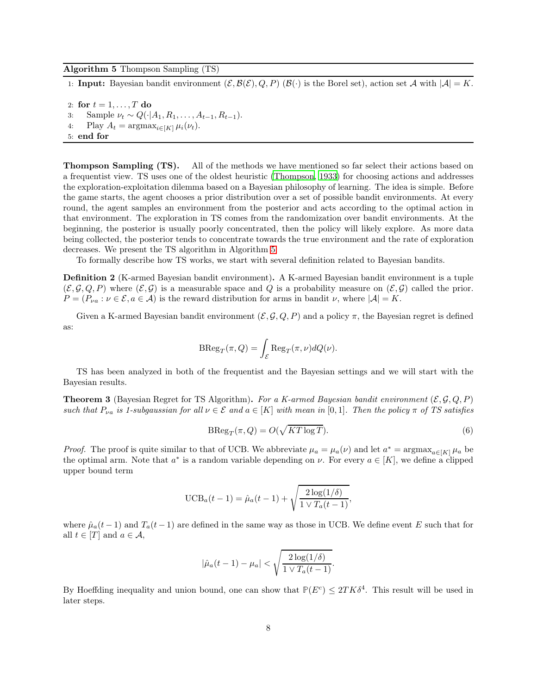#### Algorithm 5 Thompson Sampling (TS)

1: **Input:** Bayesian bandit environment  $(\mathcal{E}, \mathcal{B}(\mathcal{E}), Q, P)$  ( $\mathcal{B}(\cdot)$  is the Borel set), action set A with  $|\mathcal{A}| = K$ . 2: for  $t = 1, \ldots, T$  do 3: Sample  $\nu_t \sim Q(\cdot | A_1, R_1, \ldots, A_{t-1}, R_{t-1})$ .<br>4: Play  $A_t = \arg\max_{i \in [K]} \mu_i(\nu_t)$ .

- <span id="page-7-0"></span>Play  $A_t = \operatorname{argmax}_{i \in [K]} \mu_i(\nu_t)$ .
- 5: end for

Thompson Sampling (TS). All of the methods we have mentioned so far select their actions based on a frequentist view. TS uses one of the oldest heuristic [\(Thompson](#page-37-7), [1933](#page-37-7)) for choosing actions and addresses the exploration-exploitation dilemma based on a Bayesian philosophy of learning. The idea is simple. Before the game starts, the agent chooses a prior distribution over a set of possible bandit environments. At every round, the agent samples an environment from the posterior and acts according to the optimal action in that environment. The exploration in TS comes from the randomization over bandit environments. At the beginning, the posterior is usually poorly concentrated, then the policy will likely explore. As more data being collected, the posterior tends to concentrate towards the true environment and the rate of exploration decreases. We present the TS algorithm in Algorithm [5.](#page-7-0)

To formally describe how TS works, we start with several definition related to Bayesian bandits.

Definition 2 (K-armed Bayesian bandit environment). A K-armed Bayesian bandit environment is a tuple  $(\mathcal{E}, \mathcal{G}, Q, P)$  where  $(\mathcal{E}, \mathcal{G})$  is a measurable space and Q is a probability measure on  $(\mathcal{E}, \mathcal{G})$  called the prior.  $P = (P_{\nu a} : \nu \in \mathcal{E}, a \in \mathcal{A})$  is the reward distribution for arms in bandit  $\nu$ , where  $|\mathcal{A}| = K$ .

Given a K-armed Bayesian bandit environment  $(\mathcal{E}, \mathcal{G}, Q, P)$  and a policy  $\pi$ , the Bayesian regret is defined as:

$$
\text{BReg}_T(\pi, Q) = \int_{\mathcal{E}} \text{Reg}_T(\pi, \nu) dQ(\nu).
$$

TS has been analyzed in both of the frequentist and the Bayesian settings and we will start with the Bayesian results.

**Theorem 3** (Bayesian Regret for TS Algorithm). For a K-armed Bayesian bandit environment  $(\mathcal{E}, \mathcal{G}, Q, P)$ such that  $P_{\nu a}$  is 1-subgaussian for all  $\nu \in \mathcal{E}$  and  $a \in [K]$  with mean in [0,1]. Then the policy  $\pi$  of TS satisfies

$$
BReg_T(\pi, Q) = O(\sqrt{KT \log T}).\tag{6}
$$

*Proof.* The proof is quite similar to that of UCB. We abbreviate  $\mu_a = \mu_a(\nu)$  and let  $a^* = \text{argmax}_{a \in [K]} \mu_a$  be the optimal arm. Note that  $a^*$  is a random variable depending on  $\nu$ . For every  $a \in [K]$ , we define a clipped upper bound term

$$
\text{UCB}_a(t-1) = \hat{\mu}_a(t-1) + \sqrt{\frac{2\log(1/\delta)}{1 \vee T_a(t-1)}},
$$

where  $\hat{\mu}_a(t-1)$  and  $T_a(t-1)$  are defined in the same way as those in UCB. We define event E such that for all  $t \in [T]$  and  $a \in \mathcal{A}$ ,

$$
|\hat{\mu}_a(t-1) - \mu_a| < \sqrt{\frac{2\log(1/\delta)}{1 \vee T_a(t-1)}}.
$$

By Hoeffding inequality and union bound, one can show that  $P(E^c) \leq 2TK\delta^4$ . This result will be used in later steps.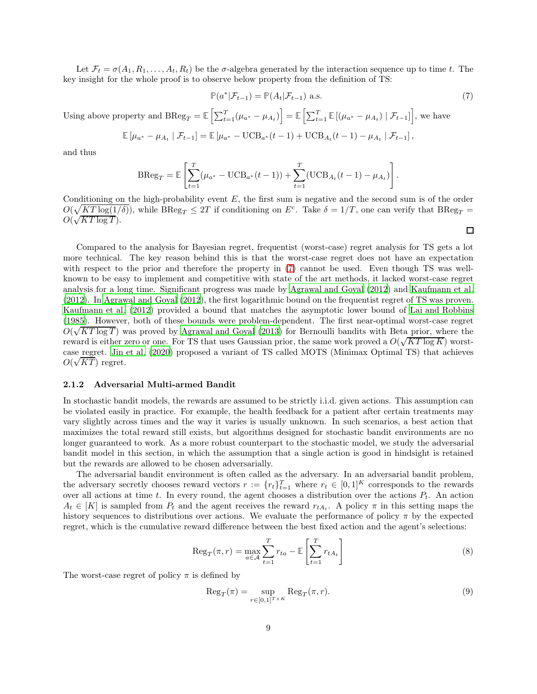Let  $\mathcal{F}_t = \sigma(A_1, R_1, \ldots, A_t, R_t)$  be the  $\sigma$ -algebra generated by the interaction sequence up to time t. The key insight for the whole proof is to observe below property from the definition of TS:

$$
\mathbb{P}(a^*|\mathcal{F}_{t-1}) = \mathbb{P}(A_t|\mathcal{F}_{t-1}) \text{ a.s.}\tag{7}
$$

<span id="page-8-0"></span>.

 $\Box$ 

Using above property and  $\text{BReg}_T = \mathbb{E}\left[\sum_{t=1}^T (\mu_{a^*} - \mu_{A_t})\right] = \mathbb{E}\left[\sum_{t=1}^T \mathbb{E}\left[(\mu_{a^*} - \mu_{A_t}) \mid \mathcal{F}_{t-1}\right]\right]$ , we have

$$
\mathbb{E}[\mu_{a^*} - \mu_{A_t} | \mathcal{F}_{t-1}] = \mathbb{E}[\mu_{a^*} - \text{UCB}_{a^*}(t-1) + \text{UCB}_{A_t}(t-1) - \mu_{A_t} | \mathcal{F}_{t-1}],
$$

and thus

$$
BReg_T = \mathbb{E}\left[\sum_{t=1}^T (\mu_{a^*} - UCB_{a^*}(t-1)) + \sum_{t=1}^T (UCB_{A_t}(t-1) - \mu_{A_t})\right]
$$

Conditioning on the high-probability event  $E$ , the first sum is negative and the second sum is of the order  $O(\sqrt{KT \log(1/\delta)})$ , while  $\text{BReg}_T \leq 2T$  if conditioning on  $E^c$ . Take  $\delta = 1/T$ , one can verify that  $\text{BReg}_T =$  $O(\sqrt{KT\log T})$ .

Compared to the analysis for Bayesian regret, frequentist (worst-case) regret analysis for TS gets a lot more technical. The key reason behind this is that the worst-case regret does not have an expectation with respect to the prior and therefore the property in  $(7)$  cannot be used. Even though TS was wellknown to be easy to implement and competitive with state of the art methods, it lacked worst-case regret analysis for a long time. Significant progress was made by [Agrawal and Goyal \(2012\)](#page-32-5) and [Kaufmann et al.](#page-35-6) [\(2012\)](#page-35-6). In [Agrawal and Goyal \(2012\)](#page-32-5), the first logarithmic bound on the frequentist regret of TS was proven. [Kaufmann et al. \(2012\)](#page-35-6) provided a bound that matches the asymptotic lower bound of [Lai and Robbins](#page-35-7) [\(1985\)](#page-35-7). However, both of these bounds were problem-dependent. The first near-optimal worst-case regret  $O(\sqrt{KT\log T})$  was proved by [Agrawal and Goyal \(2013](#page-32-6)) for Bernoulli bandits with Beta prior, where the reward is either zero or one. For TS that uses Gaussian prior, the same work proved a  $O(\sqrt{KT\log K})$  worstcase regret. [Jin et al. \(2020\)](#page-34-2) proposed a variant of TS called MOTS (Minimax Optimal TS) that achieves  $\overline{O(\sqrt{KT})}$  regret.

#### 2.1.2 Adversarial Multi-armed Bandit

In stochastic bandit models, the rewards are assumed to be strictly i.i.d. given actions. This assumption can be violated easily in practice. For example, the health feedback for a patient after certain treatments may vary slightly across times and the way it varies is usually unknown. In such scenarios, a best action that maximizes the total reward still exists, but algorithms designed for stochastic bandit environments are no longer guaranteed to work. As a more robust counterpart to the stochastic model, we study the adversarial bandit model in this section, in which the assumption that a single action is good in hindsight is retained but the rewards are allowed to be chosen adversarially.

The adversarial bandit environment is often called as the adversary. In an adversarial bandit problem, the adversary secretly chooses reward vectors  $r := \{r_t\}_{t=1}^T$  where  $r_t \in [0,1]^K$  corresponds to the rewards over all actions at time t. In every round, the agent chooses a distribution over the actions  $P_t$ . An action  $A_t \in [K]$  is sampled from  $P_t$  and the agent receives the reward  $r_{tA_t}$ . A policy  $\pi$  in this setting maps the history sequences to distributions over actions. We evaluate the performance of policy  $\pi$  by the expected regret, which is the cumulative reward difference between the best fixed action and the agent's selections:

$$
\operatorname{Reg}_{T}(\pi, r) = \max_{a \in \mathcal{A}} \sum_{t=1}^{T} r_{ta} - \mathbb{E}\left[\sum_{t=1}^{T} r_{tA_t}\right]
$$
(8)

The worst-case regret of policy  $\pi$  is defined by

$$
\operatorname{Reg}_{T}(\pi) = \sup_{r \in [0,1]^{T \times K}} \operatorname{Reg}_{T}(\pi, r).
$$
\n(9)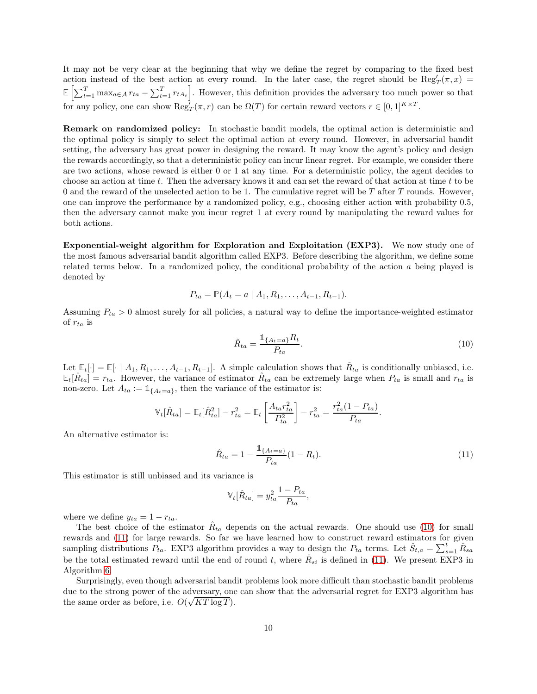It may not be very clear at the beginning that why we define the regret by comparing to the fixed best action instead of the best action at every round. In the later case, the regret should be  $\text{Reg}'_T(\pi, x)$  $\mathbb{E}\left[\sum_{t=1}^T \max_{a\in\mathcal{A}} r_{ta} - \sum_{t=1}^T r_{tA_t}\right]$ . However, this definition provides the adversary too much power so that for any policy, one can show  $\text{Reg}^7_T(\pi, r)$  can be  $\Omega(T)$  for certain reward vectors  $r \in [0, 1]^{K \times T}$ .

Remark on randomized policy: In stochastic bandit models, the optimal action is deterministic and the optimal policy is simply to select the optimal action at every round. However, in adversarial bandit setting, the adversary has great power in designing the reward. It may know the agent's policy and design the rewards accordingly, so that a deterministic policy can incur linear regret. For example, we consider there are two actions, whose reward is either 0 or 1 at any time. For a deterministic policy, the agent decides to choose an action at time  $t$ . Then the adversary knows it and can set the reward of that action at time  $t$  to be 0 and the reward of the unselected action to be 1. The cumulative regret will be  $T$  after  $T$  rounds. However, one can improve the performance by a randomized policy, e.g., choosing either action with probability 0.5, then the adversary cannot make you incur regret 1 at every round by manipulating the reward values for both actions.

Exponential-weight algorithm for Exploration and Exploitation (EXP3). We now study one of the most famous adversarial bandit algorithm called EXP3. Before describing the algorithm, we define some related terms below. In a randomized policy, the conditional probability of the action a being played is denoted by

$$
P_{ta} = \mathbb{P}(A_t = a \mid A_1, R_1, \dots, A_{t-1}, R_{t-1}).
$$

Assuming  $P_{ta} > 0$  almost surely for all policies, a natural way to define the importance-weighted estimator of  $r_{ta}$  is

<span id="page-9-0"></span>
$$
\hat{R}_{ta} = \frac{\mathbb{1}_{\{A_t = a\}} R_t}{P_{ta}}.
$$
\n(10)

Let  $\mathbb{E}_t[\cdot] = \mathbb{E}[\cdot \mid A_1, R_1, \ldots, A_{t-1}, R_{t-1}]$ . A simple calculation shows that  $\hat{R}_{ta}$  is conditionally unbiased, i.e.  $\mathbb{E}_t[\hat{R}_{ta}] = r_{ta}$ . However, the variance of estimator  $\hat{R}_{ta}$  can be extremely large when  $P_{ta}$  is small and  $r_{ta}$  is non-zero. Let  $A_{ta} := \mathbb{1}_{\{A_t = a\}}$ , then the variance of the estimator is:

$$
\mathbb{V}_t[\hat{R}_{ta}] = \mathbb{E}_t[\hat{R}_{ta}^2] - r_{ta}^2 = \mathbb{E}_t\left[\frac{A_{ta}r_{ta}^2}{P_{ta}^2}\right] - r_{ta}^2 = \frac{r_{ta}^2(1 - P_{ta})}{P_{ta}}.
$$

An alternative estimator is:

$$
\hat{R}_{ta} = 1 - \frac{\mathbb{1}_{\{A_t = a\}}}{P_{ta}} (1 - R_t). \tag{11}
$$

This estimator is still unbiased and its variance is

<span id="page-9-1"></span>
$$
\mathbb{V}_t[\hat{R}_{ta}] = y_{ta}^2 \frac{1 - P_{ta}}{P_{ta}},
$$

where we define  $y_{ta} = 1 - r_{ta}$ .

The best choice of the estimator  $\hat{R}_{ta}$  depends on the actual rewards. One should use [\(10\)](#page-9-0) for small rewards and [\(11\)](#page-9-1) for large rewards. So far we have learned how to construct reward estimators for given sampling distributions  $P_{ta}$ . EXP3 algorithm provides a way to design the  $P_{ta}$  terms. Let  $\hat{S}_{t,a} = \sum_{s=1}^{t} \hat{R}_{sa}$ be the total estimated reward until the end of round t, where  $R_{si}$  is defined in [\(11\)](#page-9-1). We present EXP3 in Algorithm [6.](#page-10-0)

Surprisingly, even though adversarial bandit problems look more difficult than stochastic bandit problems due to the strong power of the adversary, one can show that the adversarial regret for EXP3 algorithm has the same order as before, i.e.  $O(\sqrt{KT\log T})$ .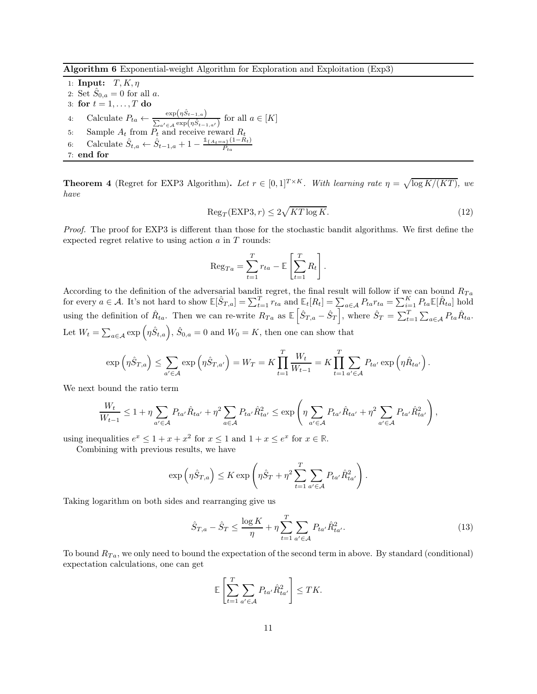Algorithm 6 Exponential-weight Algorithm for Exploration and Exploitation (Exp3)

1: **Input:**  $T, K, \eta$ 2: Set  $\hat{S}_{0,a} = 0$  for all a. 3: for  $t = 1, \ldots, T$  do 4: Calculate  $P_{ta} \leftarrow \frac{\exp(\eta \hat{S}_{t-1,a})}{\sum_{t \in A} \exp(\eta \hat{S}_{t-1,a})}$  $\frac{\exp(\eta s t-1, a)}{\sum_{a' \in \mathcal{A}} \exp(\eta \hat{S}_{t-1, a'})}$  for all  $a \in [K]$ 5: Sample  $A_t$  from  $P_t$  and receive reward  $R_t$ 6: Calculate  $\hat{S}_{t,a} \leftarrow \hat{S}_{t-1,a} + 1 - \frac{\mathbb{1}_{\{A_t = a\}}(1-\hat{R}_t)}{P_{ta}}$ 7: end for

<span id="page-10-2"></span><span id="page-10-0"></span>**Theorem 4** (Regret for EXP3 Algorithm). Let  $r \in [0,1]^{T \times K}$ . With learning rate  $\eta = \sqrt{\log K/(KT)}$ , we have

$$
\operatorname{Reg}_{T}(\operatorname{EXP3}, r) \le 2\sqrt{KT\log K}.
$$
\n(12)

Proof. The proof for EXP3 is different than those for the stochastic bandit algorithms. We first define the expected regret relative to using action  $a$  in  $T$  rounds:

$$
\operatorname{Reg}_{Ta} = \sum_{t=1}^{T} r_{ta} - \mathbb{E}\left[\sum_{t=1}^{T} R_t\right].
$$

According to the definition of the adversarial bandit regret, the final result will follow if we can bound  $R_{Ta}$ for every  $a \in \mathcal{A}$ . It's not hard to show  $\mathbb{E}[\hat{S}_{T,a}] = \sum_{t=1}^{T} r_{ta}$  and  $\mathbb{E}_t[R_t] = \sum_{a \in \mathcal{A}} P_{ta} r_{ta} = \sum_{i=1}^{K} P_{ta} \mathbb{E}[\hat{R}_{ta}]$  hold using the definition of  $\hat{R}_{ta}$ . Then we can re-write  $R_{Ta}$  as  $\mathbb{E}\left[\hat{S}_{T,a} - \hat{S}_T\right]$ , where  $\hat{S}_T = \sum_{t=1}^T \sum_{a \in \mathcal{A}} P_{ta} \hat{R}_{ta}$ . Let  $W_t = \sum_{a \in \mathcal{A}} \exp\left(\eta \hat{S}_{t,a}\right), \hat{S}_{0,a} = 0$  and  $W_0 = K$ , then one can show that

$$
\exp\left(\eta \hat{S}_{T,a}\right) \leq \sum_{a' \in \mathcal{A}} \exp\left(\eta \hat{S}_{T,a'}\right) = W_T = K \prod_{t=1}^T \frac{W_t}{W_{t-1}} = K \prod_{t=1}^T \sum_{a' \in \mathcal{A}} P_{ta'} \exp\left(\eta \hat{R}_{ta'}\right).
$$

We next bound the ratio term

$$
\frac{W_t}{W_{t-1}} \leq 1 + \eta \sum_{a' \in \mathcal{A}} P_{ta'} \hat{R}_{ta'} + \eta^2 \sum_{a \in \mathcal{A}} P_{ta'} \hat{R}_{ta'}^2 \leq \exp\left(\eta \sum_{a' \in \mathcal{A}} P_{ta'} \hat{R}_{ta'} + \eta^2 \sum_{a' \in \mathcal{A}} P_{ta'} \hat{R}_{ta'}^2\right),
$$

using inequalities  $e^x \leq 1 + x + x^2$  for  $x \leq 1$  and  $1 + x \leq e^x$  for  $x \in \mathbb{R}$ .

Combining with previous results, we have

$$
\exp\left(\eta\hat{S}_{T,a}\right) \leq K \exp\left(\eta\hat{S}_T + \eta^2 \sum_{t=1}^T \sum_{a'\in\mathcal{A}} P_{ta'} \hat{R}_{ta'}^2\right).
$$

Taking logarithm on both sides and rearranging give us

$$
\hat{S}_{T,a} - \hat{S}_T \le \frac{\log K}{\eta} + \eta \sum_{t=1}^T \sum_{a' \in \mathcal{A}} P_{ta'} \hat{R}_{ta'}^2.
$$
 (13)

To bound  $R_{Ta}$ , we only need to bound the expectation of the second term in above. By standard (conditional) expectation calculations, one can get

<span id="page-10-1"></span>
$$
\mathbb{E}\left[\sum_{t=1}^T \sum_{a' \in \mathcal{A}} P_{ta'} \hat{R}_{ta'}^2\right] \leq TK.
$$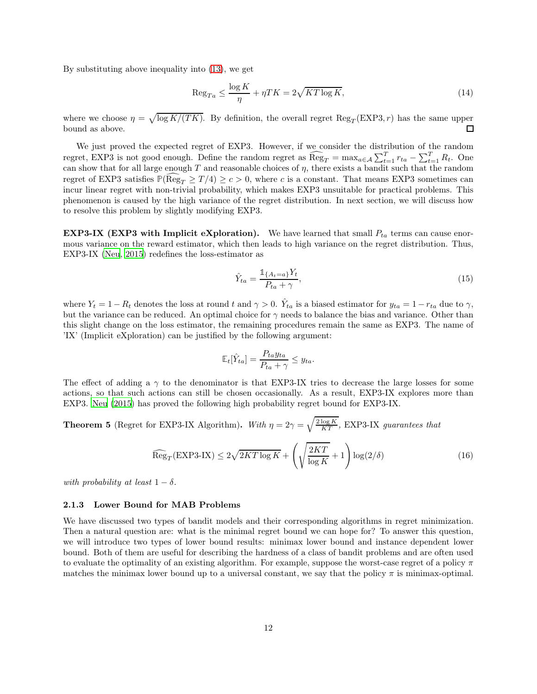By substituting above inequality into [\(13\)](#page-10-1), we get

$$
\operatorname{Reg}_{Ta} \le \frac{\log K}{\eta} + \eta TK = 2\sqrt{KT\log K},\tag{14}
$$

where we choose  $\eta = \sqrt{\log K/(TK)}$ . By definition, the overall regret  $\text{Reg}_T(\text{EXP3}, r)$  has the same upper bound as above.  $\Box$ 

We just proved the expected regret of EXP3. However, if we consider the distribution of the random regret, EXP3 is not good enough. Define the random regret as  $\widehat{\text{Reg}}_T = \max_{a \in A} \sum_{t=1}^T r_{ta} - \sum_{t=1}^T R_t$ . One can show that for all large enough  $T$  and reasonable choices of  $\eta$ , there exists a bandit such that the random regret of EXP3 satisfies  $\mathbb{P}(\overline{\text{Reg}}_T \geq T/4) \geq c > 0$ , where c is a constant. That means EXP3 sometimes can incur linear regret with non-trivial probability, which makes EXP3 unsuitable for practical problems. This phenomenon is caused by the high variance of the regret distribution. In next section, we will discuss how to resolve this problem by slightly modifying EXP3.

**EXP3-IX (EXP3 with Implicit eXploration).** We have learned that small  $P_{ta}$  terms can cause enormous variance on the reward estimator, which then leads to high variance on the regret distribution. Thus, EXP3-IX [\(Neu](#page-36-3), [2015](#page-36-3)) redefines the loss-estimator as

$$
\hat{Y}_{ta} = \frac{\mathbb{1}_{\{A_t = a\}} Y_t}{P_{ta} + \gamma},\tag{15}
$$

where  $Y_t = 1 - R_t$  denotes the loss at round t and  $\gamma > 0$ .  $\hat{Y}_{ta}$  is a biased estimator for  $y_{ta} = 1 - r_{ta}$  due to  $\gamma$ , but the variance can be reduced. An optimal choice for  $\gamma$  needs to balance the bias and variance. Other than this slight change on the loss estimator, the remaining procedures remain the same as EXP3. The name of 'IX' (Implicit eXploration) can be justified by the following argument:

$$
\mathbb{E}_t[\hat{Y}_{ta}] = \frac{P_{ta}y_{ta}}{P_{ta} + \gamma} \le y_{ta}.
$$

The effect of adding a  $\gamma$  to the denominator is that EXP3-IX tries to decrease the large losses for some actions, so that such actions can still be chosen occasionally. As a result, EXP3-IX explores more than EXP3. [Neu \(2015\)](#page-36-3) has proved the following high probability regret bound for EXP3-IX.

**Theorem 5** (Regret for EXP3-IX Algorithm). With  $\eta = 2\gamma = \sqrt{\frac{2 \log K}{KT}}$ , EXP3-IX guarantees that

$$
\widehat{\text{Reg}}_T(\text{EXP3-IX}) \le 2\sqrt{2KT\log K} + \left(\sqrt{\frac{2KT}{\log K}} + 1\right)\log(2/\delta) \tag{16}
$$

with probability at least  $1 - \delta$ .

#### 2.1.3 Lower Bound for MAB Problems

We have discussed two types of bandit models and their corresponding algorithms in regret minimization. Then a natural question are: what is the minimal regret bound we can hope for? To answer this question, we will introduce two types of lower bound results: minimax lower bound and instance dependent lower bound. Both of them are useful for describing the hardness of a class of bandit problems and are often used to evaluate the optimality of an existing algorithm. For example, suppose the worst-case regret of a policy  $\pi$ matches the minimax lower bound up to a universal constant, we say that the policy  $\pi$  is minimax-optimal.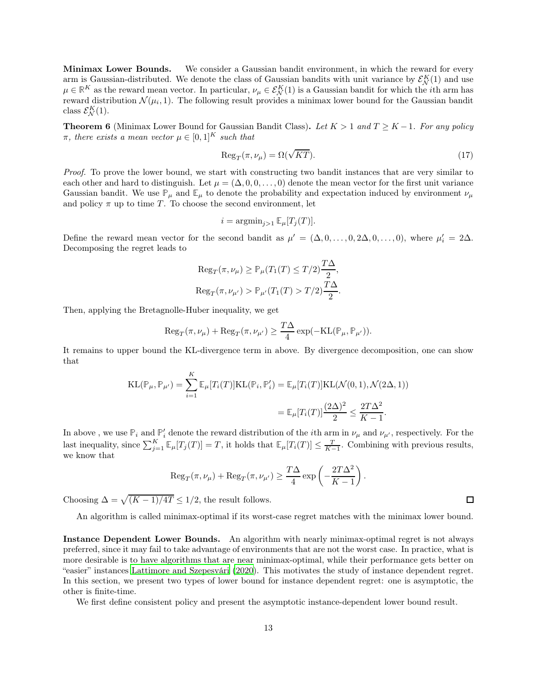Minimax Lower Bounds. We consider a Gaussian bandit environment, in which the reward for every arm is Gaussian-distributed. We denote the class of Gaussian bandits with unit variance by  $\mathcal{E}_{\mathcal{N}}^{K}(1)$  and use  $\mu \in \mathbb{R}^K$  as the reward mean vector. In particular,  $\nu_\mu \in \mathcal{E}^K_N(1)$  is a Gaussian bandit for which the *i*th arm has reward distribution  $\mathcal{N}(\mu_i, 1)$ . The following result provides a minimax lower bound for the Gaussian bandit class  $\mathcal{E}_{\mathcal{N}}^{K}(1)$ .

**Theorem 6** (Minimax Lower Bound for Gaussian Bandit Class). Let  $K > 1$  and  $T \geq K - 1$ . For any policy  $\pi$ , there exists a mean vector  $\mu \in [0,1]^K$  such that

$$
\operatorname{Reg}_{T}(\pi,\nu_{\mu}) = \Omega(\sqrt{KT}).\tag{17}
$$

.

Proof. To prove the lower bound, we start with constructing two bandit instances that are very similar to each other and hard to distinguish. Let  $\mu = (\Delta, 0, 0, \ldots, 0)$  denote the mean vector for the first unit variance Gaussian bandit. We use  $\mathbb{P}_{\mu}$  and  $\mathbb{E}_{\mu}$  to denote the probability and expectation induced by environment  $\nu_{\mu}$ and policy  $\pi$  up to time T. To choose the second environment, let

$$
i = \operatorname{argmin}_{j>1} \mathbb{E}_{\mu}[T_j(T)].
$$

Define the reward mean vector for the second bandit as  $\mu' = (\Delta, 0, \ldots, 0, 2\Delta, 0, \ldots, 0)$ , where  $\mu'_i = 2\Delta$ . Decomposing the regret leads to

$$
\operatorname{Reg}_{T}(\pi,\nu_{\mu}) \ge \mathbb{P}_{\mu}(T_{1}(T) \le T/2) \frac{T\Delta}{2},
$$
  

$$
\operatorname{Reg}_{T}(\pi,\nu_{\mu'}) > \mathbb{P}_{\mu'}(T_{1}(T) > T/2) \frac{T\Delta}{2}.
$$

Then, applying the Bretagnolle-Huber inequality, we get

$$
\mathrm{Reg}_T(\pi,\nu_\mu)+\mathrm{Reg}_T(\pi,\nu_{\mu'})\geq \frac{T\Delta}{4}\exp(-\mathrm{KL}(\mathbb{P}_\mu,\mathbb{P}_{\mu'})).
$$

It remains to upper bound the KL-divergence term in above. By divergence decomposition, one can show that

$$
KL(\mathbb{P}_{\mu}, \mathbb{P}_{\mu'}) = \sum_{i=1}^{K} \mathbb{E}_{\mu}[T_i(T)]KL(\mathbb{P}_i, \mathbb{P}'_i) = \mathbb{E}_{\mu}[T_i(T)]KL(\mathcal{N}(0, 1), \mathcal{N}(2\Delta, 1))
$$

$$
= \mathbb{E}_{\mu}[T_i(T)]\frac{(2\Delta)^2}{2} \le \frac{2T\Delta^2}{K - 1}.
$$

In above, we use  $\mathbb{P}_i$  and  $\mathbb{P}'_i$  denote the reward distribution of the *i*<sup>th</sup> arm in  $\nu_\mu$  and  $\nu_{\mu'}$ , respectively. For the last inequality, since  $\sum_{j=1}^{K} \mathbb{E}_{\mu}[T_j(T)] = T$ , it holds that  $\mathbb{E}_{\mu}[T_i(T)] \leq \frac{T}{K-1}$ . Combining with previous results, we know that

$$
\operatorname{Reg}_{T}(\pi,\nu_{\mu}) + \operatorname{Reg}_{T}(\pi,\nu_{\mu'}) \ge \frac{T\Delta}{4} \exp\left(-\frac{2T\Delta^{2}}{K-1}\right)
$$

Choosing  $\Delta = \sqrt{(K-1)/4T} \le 1/2$ , the result follows.

An algorithm is called minimax-optimal if its worst-case regret matches with the minimax lower bound.

Instance Dependent Lower Bounds. An algorithm with nearly minimax-optimal regret is not always preferred, since it may fail to take advantage of environments that are not the worst case. In practice, what is more desirable is to have algorithms that are near minimax-optimal, while their performance gets better on "easier" instances [Lattimore and Szepesvári \(2020\)](#page-35-1). This motivates the study of instance dependent regret. In this section, we present two types of lower bound for instance dependent regret: one is asymptotic, the other is finite-time.

We first define consistent policy and present the asymptotic instance-dependent lower bound result.

 $\Box$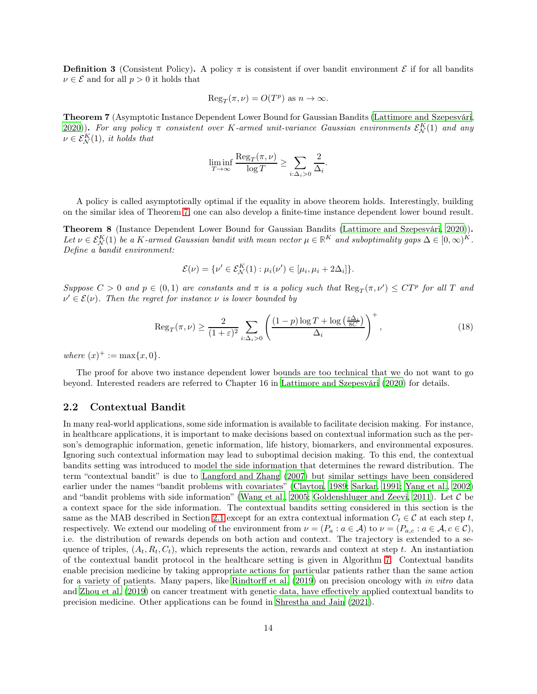**Definition 3** (Consistent Policy). A policy  $\pi$  is consistent if over bandit environment  $\mathcal{E}$  if for all bandits  $\nu \in \mathcal{E}$  and for all  $p > 0$  it holds that

$$
\text{Reg}_T(\pi,\nu) = O(T^p) \text{ as } n \to \infty.
$$

<span id="page-13-0"></span>Theorem 7 (Asymptotic Instance Dependent Lower Bound for Gaussian Bandits [\(Lattimore and Szepesvári](#page-35-1), [2020\)](#page-35-1)). For any policy  $\pi$  consistent over K-armed unit-variance Gaussian environments  $\mathcal{E}_{\mathcal{N}}^{K}(1)$  and any  $\nu \in \mathcal{E}_{\mathcal{N}}^{K}(1),$  it holds that

$$
\liminf_{T \to \infty} \frac{\text{Reg}_{T}(\pi, \nu)}{\log T} \ge \sum_{i:\Delta_i > 0} \frac{2}{\Delta_i}.
$$

A policy is called asymptotically optimal if the equality in above theorem holds. Interestingly, building on the similar idea of Theorem [7,](#page-13-0) one can also develop a finite-time instance dependent lower bound result.

Theorem 8 (Instance Dependent Lower Bound for Gaussian Bandits [\(Lattimore and Szepesvári](#page-35-1), [2020](#page-35-1))). Let  $\nu \in \mathcal{E}_{\mathcal{N}}^K(1)$  be a K-armed Gaussian bandit with mean vector  $\mu \in \mathbb{R}^K$  and suboptimality gaps  $\Delta \in [0, \infty)^K$ . Define a bandit environment:

$$
\mathcal{E}(\nu) = \{\nu' \in \mathcal{E}_{\mathcal{N}}^K(1) : \mu_i(\nu') \in [\mu_i, \mu_i + 2\Delta_i] \}.
$$

Suppose  $C > 0$  and  $p \in (0,1)$  are constants and  $\pi$  is a policy such that  $\text{Reg}_T(\pi, \nu') \leq C T^p$  for all T and  $\nu' \in \mathcal{E}(\nu)$ . Then the regret for instance  $\nu$  is lower bounded by

$$
\operatorname{Reg}_{T}(\pi,\nu) \ge \frac{2}{(1+\varepsilon)^2} \sum_{i:\Delta_i>0} \left( \frac{(1-p)\log T + \log\left(\frac{\varepsilon \Delta_i}{8C}\right)}{\Delta_i} \right)^+,
$$
(18)

where  $(x)^+ := \max\{x, 0\}.$ 

The proof for above two instance dependent lower bounds are too technical that we do not want to go beyond. Interested readers are referred to Chapter 16 in [Lattimore and Szepesvári \(2020\)](#page-35-1) for details.

## 2.2 Contextual Bandit

In many real-world applications, some side information is available to facilitate decision making. For instance, in healthcare applications, it is important to make decisions based on contextual information such as the person's demographic information, genetic information, life history, biomarkers, and environmental exposures. Ignoring such contextual information may lead to suboptimal decision making. To this end, the contextual bandits setting was introduced to model the side information that determines the reward distribution. The term "contextual bandit" is due to [Langford and Zhang \(2007\)](#page-35-8) but similar settings have been considered earlier under the names "bandit problems with covariates" [\(Clayton](#page-33-3), [1989;](#page-33-3) [Sarkar, 1991;](#page-37-8) [Yang et al., 2002](#page-38-3)) and "bandit problems with side information" [\(Wang et al., 2005;](#page-38-4) [Goldenshluger and Zeevi, 2011](#page-34-3)). Let  $\mathcal C$  be a context space for the side information. The contextual bandits setting considered in this section is the same as the MAB described in Section [2.1](#page-1-3) except for an extra contextual information  $C_t \in \mathcal{C}$  at each step t, respectively. We extend our modeling of the environment from  $\nu = (P_a : a \in \mathcal{A})$  to  $\nu = (P_{a,c} : a \in \mathcal{A}, c \in \mathcal{C})$ , i.e. the distribution of rewards depends on both action and context. The trajectory is extended to a sequence of triples,  $(A_t, R_t, C_t)$ , which represents the action, rewards and context at step t. An instantiation of the contextual bandit protocol in the healthcare setting is given in Algorithm [7.](#page-14-0) Contextual bandits enable precision medicine by taking appropriate actions for particular patients rather than the same action for a variety of patients. Many papers, like [Rindtorff et al. \(2019\)](#page-37-5) on precision oncology with in vitro data and [Zhou et al. \(2019\)](#page-38-5) on cancer treatment with genetic data, have effectively applied contextual bandits to precision medicine. Other applications can be found in [Shrestha and Jain \(2021\)](#page-37-9).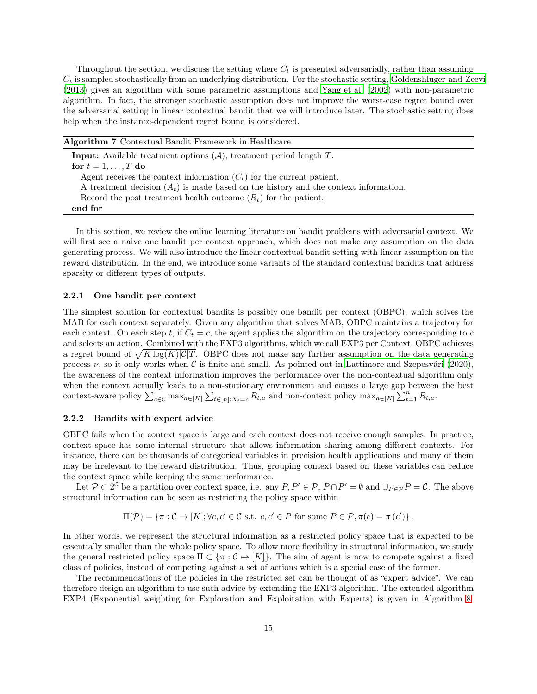Throughout the section, we discuss the setting where  $C_t$  is presented adversarially, rather than assuming  $C_t$  is sampled stochastically from an underlying distribution. For the stochastic setting, [Goldenshluger and Zeevi](#page-34-4) [\(2013\)](#page-34-4) gives an algorithm with some parametric assumptions and [Yang et al. \(2002](#page-38-3)) with non-parametric algorithm. In fact, the stronger stochastic assumption does not improve the worst-case regret bound over the adversarial setting in linear contextual bandit that we will introduce later. The stochastic setting does help when the instance-dependent regret bound is considered.

Algorithm 7 Contextual Bandit Framework in Healthcare

**Input:** Available treatment options  $(A)$ , treatment period length  $T$ . for  $t = 1, \ldots, T$  do Agent receives the context information  $(C_t)$  for the current patient. A treatment decision  $(A_t)$  is made based on the history and the context information. Record the post treatment health outcome  $(R_t)$  for the patient. end for

<span id="page-14-0"></span>In this section, we review the online learning literature on bandit problems with adversarial context. We will first see a naive one bandit per context approach, which does not make any assumption on the data generating process. We will also introduce the linear contextual bandit setting with linear assumption on the reward distribution. In the end, we introduce some variants of the standard contextual bandits that address sparsity or different types of outputs.

#### 2.2.1 One bandit per context

The simplest solution for contextual bandits is possibly one bandit per context (OBPC), which solves the MAB for each context separately. Given any algorithm that solves MAB, OBPC maintains a trajectory for each context. On each step t, if  $C_t = c$ , the agent applies the algorithm on the trajectory corresponding to c and selects an action. Combined with the EXP3 algorithms, which we call EXP3 per Context, OBPC achieves a regret bound of  $\sqrt{K \log(K) |\mathcal{C}|T}$ . OBPC does not make any further assumption on the data generating process  $\nu$ , so it only works when C is finite and small. As pointed out in [Lattimore and Szepesvári \(2020\)](#page-35-1), the awareness of the context information improves the performance over the non-contextual algorithm only when the context actually leads to a non-stationary environment and causes a large gap between the best context-aware policy  $\sum_{c \in \mathcal{C}} \max_{a \in [K]} \sum_{t \in [n]: X_t = c} R_{t,a}$  and non-context policy  $\max_{a \in [K]} \sum_{t=1}^n R_{t,a}$ .

#### 2.2.2 Bandits with expert advice

OBPC fails when the context space is large and each context does not receive enough samples. In practice, context space has some internal structure that allows information sharing among different contexts. For instance, there can be thousands of categorical variables in precision health applications and many of them may be irrelevant to the reward distribution. Thus, grouping context based on these variables can reduce the context space while keeping the same performance.

Let  $\mathcal{P} \subset 2^{\mathcal{C}}$  be a partition over context space, i.e. any  $P, P' \in \mathcal{P}, P \cap P' = \emptyset$  and  $\cup_{P \in \mathcal{P}} P = \mathcal{C}$ . The above structural information can be seen as restricting the policy space within

$$
\Pi(\mathcal{P}) = \{ \pi : \mathcal{C} \to [K]; \forall c, c' \in \mathcal{C} \text{ s.t. } c, c' \in P \text{ for some } P \in \mathcal{P}, \pi(c) = \pi(c') \}.
$$

In other words, we represent the structural information as a restricted policy space that is expected to be essentially smaller than the whole policy space. To allow more flexibility in structural information, we study the general restricted policy space  $\Pi \subset {\pi : \mathcal{C} \mapsto [K]}$ . The aim of agent is now to compete against a fixed class of policies, instead of competing against a set of actions which is a special case of the former.

The recommendations of the policies in the restricted set can be thought of as "expert advice". We can therefore design an algorithm to use such advice by extending the EXP3 algorithm. The extended algorithm EXP4 (Exponential weighting for Exploration and Exploitation with Experts) is given in Algorithm [8.](#page-15-0)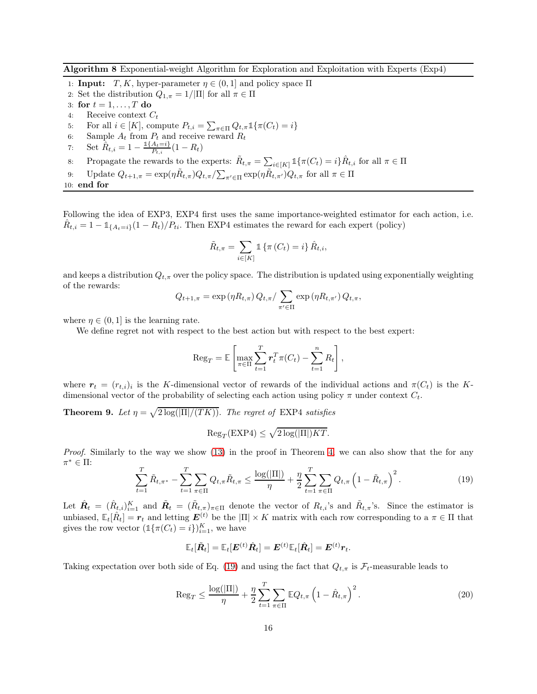Algorithm 8 Exponential-weight Algorithm for Exploration and Exploitation with Experts (Exp4)

1: **Input:**  $T, K$ , hyper-parameter  $\eta \in (0, 1]$  and policy space  $\Pi$ 

- 2: Set the distribution  $Q_{1,\pi} = 1/|\Pi|$  for all  $\pi \in \Pi$
- 3: for  $t = 1, \ldots, T$  do
- 4: Receive context  $C_t$
- 5: For all  $i \in [K]$ , compute  $P_{t,i} = \sum_{\pi \in \Pi} Q_{t,\pi} \mathbb{1} \{ \pi(C_t) = i \}$
- 6: Sample  $A_t$  from  $P_t$  and receive reward  $R_t$
- 7: Set  $\hat{R}_{t,i} = 1 \frac{\mathbb{1}\{A_t = i\}}{P_{t,i}}$  $\frac{A_t = \iota_f}{P_{t,i}}(1 - R_t)$
- 8: Propagate the rewards to the experts:  $\tilde{R}_{t,\pi} = \sum_{i \in [K]} \mathbb{1}\{\pi(C_t) = i\} \hat{R}_{t,i}$  for all  $\pi \in \Pi$
- <span id="page-15-0"></span>9: Update  $Q_{t+1,\pi} = \exp(\eta \tilde{R}_{t,\pi}) Q_{t,\pi}/\sum_{\pi' \in \Pi} \exp(\eta \tilde{R}_{t,\pi'}) Q_{t,\pi}$  for all  $\pi \in \Pi$

10: end for

Following the idea of EXP3, EXP4 first uses the same importance-weighted estimator for each action, i.e.  $\hat{R}_{t,i} = 1 - \mathbb{1}_{\{A_t=i\}}(1 - R_t)/P_{ti}$ . Then EXP4 estimates the reward for each expert (policy)

$$
\tilde{R}_{t,\pi} = \sum_{i \in [K]} \mathbb{1} \left\{ \pi \left( C_t \right) = i \right\} \hat{R}_{t,i},
$$

and keeps a distribution  $Q_{t,\pi}$  over the policy space. The distribution is updated using exponentially weighting of the rewards:

$$
Q_{t+1,\pi} = \exp(\eta R_{t,\pi}) Q_{t,\pi} / \sum_{\pi' \in \Pi} \exp(\eta R_{t,\pi'}) Q_{t,\pi},
$$

where  $\eta \in (0, 1]$  is the learning rate.

We define regret not with respect to the best action but with respect to the best expert:

$$
\operatorname{Reg}_{T} = \mathbb{E}\left[\max_{\pi \in \Pi} \sum_{t=1}^{T} \boldsymbol{r}_{t}^{T} \pi(C_{t}) - \sum_{t=1}^{n} R_{t}\right],
$$

where  $r_t = (r_{t,i})_i$  is the K-dimensional vector of rewards of the individual actions and  $\pi(C_t)$  is the Kdimensional vector of the probability of selecting each action using policy  $\pi$  under context  $C_t$ .

**Theorem 9.** Let  $\eta = \sqrt{2 \log(|\Pi|/(TK))}$ . The regret of EXP4 satisfies

$$
\mathrm{Reg}_T(\mathrm{EXP4}) \leq \sqrt{2\log(|\Pi|)KT}.
$$

<span id="page-15-1"></span>Proof. Similarly to the way we show [\(13\)](#page-10-1) in the proof in Theorem [4,](#page-10-2) we can also show that the for any  $\pi^* \in \Pi$ :

$$
\sum_{t=1}^{T} \tilde{R}_{t,\pi^*} - \sum_{t=1}^{T} \sum_{\pi \in \Pi} Q_{t,\pi} \tilde{R}_{t,\pi} \le \frac{\log(|\Pi|)}{\eta} + \frac{\eta}{2} \sum_{t=1}^{T} \sum_{\pi \in \Pi} Q_{t,\pi} \left(1 - \tilde{R}_{t,\pi}\right)^2.
$$
 (19)

Let  $\hat{R}_t = (\hat{R}_{t,i})_{i=1}^K$  and  $\tilde{R}_t = (\tilde{R}_{t,\pi})_{\pi \in \Pi}$  denote the vector of  $R_{t,i}$ 's and  $\tilde{R}_{t,\pi}$ 's. Since the estimator is unbiased,  $\mathbb{E}_t[\hat{R}_t] = r_t$  and letting  $E^{(t)}$  be the  $|\Pi| \times K$  matrix with each row corresponding to a  $\pi \in \Pi$  that gives the row vector  $(\mathbb{1}\{\pi(C_t) = i\})_{i=1}^K$ , we have

<span id="page-15-2"></span>
$$
\mathbb{E}_t[\tilde{\boldsymbol{R}}_t] = \mathbb{E}_t[\boldsymbol{E}^{(t)}\hat{\boldsymbol{R}}_t] = \boldsymbol{E}^{(t)}\mathbb{E}_t[\hat{\boldsymbol{R}}_t] = \boldsymbol{E}^{(t)}\boldsymbol{r}_t.
$$

Taking expectation over both side of Eq. [\(19\)](#page-15-1) and using the fact that  $Q_{t,\pi}$  is  $\mathcal{F}_t$ -measurable leads to

$$
\operatorname{Reg}_{T} \leq \frac{\log(|\Pi|)}{\eta} + \frac{\eta}{2} \sum_{t=1}^{T} \sum_{\pi \in \Pi} \mathbb{E}Q_{t,\pi} \left(1 - \hat{R}_{t,\pi}\right)^{2}.
$$
 (20)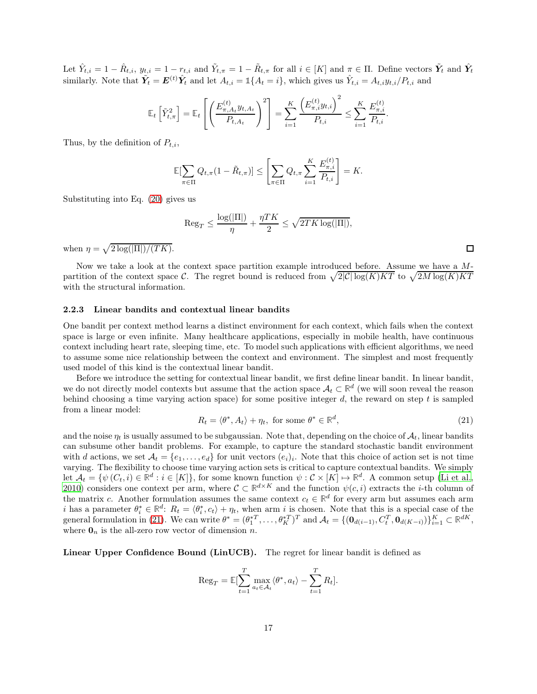Let  $\hat{Y}_{t,i} = 1 - \hat{R}_{t,i}, y_{t,i} = 1 - r_{t,i}$  and  $\tilde{Y}_{t,\pi} = 1 - \tilde{R}_{t,\pi}$  for all  $i \in [K]$  and  $\pi \in \Pi$ . Define vectors  $\tilde{Y}_t$  and  $\hat{Y}_t$ similarly. Note that  $\tilde{Y}_t = E^{(t)} \hat{Y}_t$  and let  $A_{t,i} = \mathbb{1} \{ A_t = i \}$ , which gives us  $\hat{Y}_{t,i} = A_{t,i} y_{t,i} / P_{t,i}$  and

$$
\mathbb{E}_{t}\left[\tilde{Y}_{t,\pi}^{2}\right] = \mathbb{E}_{t}\left[\left(\frac{E_{\pi,A_{t}}^{(t)} y_{t,A_{t}}}{P_{t,A_{t}}}\right)^{2}\right] = \sum_{i=1}^{K} \frac{\left(E_{\pi,i}^{(t)} y_{t,i}\right)^{2}}{P_{t,i}} \leq \sum_{i=1}^{K} \frac{E_{\pi,i}^{(t)}}{P_{t,i}}.
$$

Thus, by the definition of  $P_{t,i}$ ,

$$
\mathbb{E}[\sum_{\pi \in \Pi} Q_{t,\pi}(1-\tilde{R}_{t,\pi})] \leq \left[\sum_{\pi \in \Pi} Q_{t,\pi} \sum_{i=1}^K \frac{E_{\pi,i}^{(t)}}{P_{t,i}}\right] = K.
$$

Substituting into Eq. [\(20\)](#page-15-2) gives us

$$
\mathrm{Reg}_T \leq \frac{\log(|\Pi|)}{\eta} + \frac{\eta TK}{2} \leq \sqrt{2TK\log(|\Pi|)},
$$

when  $\eta = \sqrt{2 \log(|\Pi|)/(TK)}$ .

Now we take a look at the context space partition example introduced before. Assume we have a Mpartition of the context space C. The regret bound is reduced from  $\sqrt{2|\mathcal{C}| \log(K)KT}$  to  $\sqrt{2M \log(K)KT}$ with the structural information.

#### 2.2.3 Linear bandits and contextual linear bandits

One bandit per context method learns a distinct environment for each context, which fails when the context space is large or even infinite. Many healthcare applications, especially in mobile health, have continuous context including heart rate, sleeping time, etc. To model such applications with efficient algorithms, we need to assume some nice relationship between the context and environment. The simplest and most frequently used model of this kind is the contextual linear bandit.

Before we introduce the setting for contextual linear bandit, we first define linear bandit. In linear bandit, we do not directly model contexts but assume that the action space  $\mathcal{A}_t \subset \mathbb{R}^d$  (we will soon reveal the reason behind choosing a time varying action space) for some positive integer  $d$ , the reward on step  $t$  is sampled from a linear model:

<span id="page-16-0"></span>
$$
R_t = \langle \theta^*, A_t \rangle + \eta_t, \text{ for some } \theta^* \in \mathbb{R}^d,
$$
\n
$$
(21)
$$

and the noise  $\eta_t$  is usually assumed to be subgaussian. Note that, depending on the choice of  $A_t$ , linear bandits can subsume other bandit problems. For example, to capture the standard stochastic bandit environment with d actions, we set  $\mathcal{A}_t = \{e_1, \ldots, e_d\}$  for unit vectors  $(e_i)_i$ . Note that this choice of action set is not time varying. The flexibility to choose time varying action sets is critical to capture contextual bandits. We simply let  $\mathcal{A}_t = \{\psi(C_t, i) \in \mathbb{R}^d : i \in [K]\},$  for some known function  $\psi : \mathcal{C} \times [K] \mapsto \mathbb{R}^d$ . A common setup [\(Li et al.](#page-35-9), [2010\)](#page-35-9) considers one context per arm, where  $C \subset \mathbb{R}^{d \times K}$  and the function  $\psi(c, i)$  extracts the *i*-th column of the matrix c. Another formulation assumes the same context  $c_t \in \mathbb{R}^d$  for every arm but assumes each arm i has a parameter  $\theta_i^* \in \mathbb{R}^d$ :  $R_t = \langle \theta_i^*, c_t \rangle + \eta_t$ , when arm i is chosen. Note that this is a special case of the general formulation in [\(21\)](#page-16-0). We can write  $\theta^* = (\theta_1^{*T}, \dots, \theta_K^{*T})^T$  and  $\mathcal{A}_t = \{(\mathbf{0}_{d(i-1)}, C_t^T, \mathbf{0}_{d(K-i)})\}_{i=1}^K \subset \mathbb{R}^{dK}$ , where  $\mathbf{0}_n$  is the all-zero row vector of dimension n.

Linear Upper Confidence Bound (LinUCB). The regret for linear bandit is defined as

$$
\operatorname{Reg}_T = \mathbb{E}[\sum_{t=1}^T \max_{a_t \in \mathcal{A}_t} \langle \theta^*, a_t \rangle - \sum_{t=1}^T R_t].
$$

 $\Box$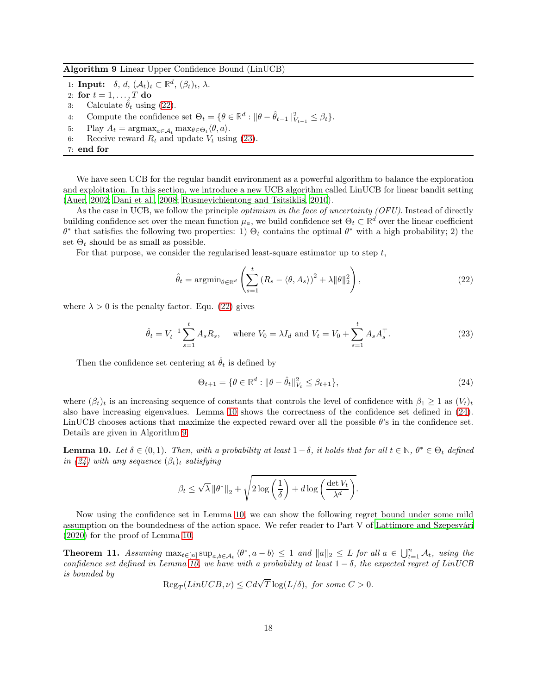Algorithm 9 Linear Upper Confidence Bound (LinUCB)

- 1: **Input:**  $\delta$ ,  $d$ ,  $(\mathcal{A}_t)_t \subset \mathbb{R}^d$ ,  $(\beta_t)_t$ ,  $\lambda$ .
- 2: for  $t = 1, ..., T$  do
- 3: Calculate  $\hat{\theta}_t$  using [\(22\)](#page-17-0).
- 4: Compute the confidence set  $\Theta_t = \{ \theta \in \mathbb{R}^d : ||\theta \hat{\theta}_{t-1}||_{V_{t-1}}^2 \leq \beta_t \}.$
- 5: Play  $A_t = \operatorname{argmax}_{a \in A_t} \max_{\theta \in \Theta_t} \langle \theta, a \rangle$ .
- <span id="page-17-4"></span>6: Receive reward  $R_t$  and update  $V_t$  using [\(23\)](#page-17-1).
- 7: end for

We have seen UCB for the regular bandit environment as a powerful algorithm to balance the exploration and exploitation. In this section, we introduce a new UCB algorithm called LinUCB for linear bandit setting [\(Auer](#page-32-7), [2002](#page-32-7); [Dani et al., 2008;](#page-33-4) [Rusmevichientong and Tsitsiklis, 2010\)](#page-37-10).

As the case in UCB, we follow the principle *optimism in the face of uncertainty (OFU)*. Instead of directly building confidence set over the mean function  $\mu_a$ , we build confidence set  $\Theta_t \subset \mathbb{R}^d$  over the linear coefficient  $\theta^*$  that satisfies the following two properties: 1)  $\Theta_t$  contains the optimal  $\theta^*$  with a high probability; 2) the set  $\Theta_t$  should be as small as possible.

For that purpose, we consider the regularised least-square estimator up to step  $t$ ,

<span id="page-17-1"></span><span id="page-17-0"></span>
$$
\hat{\theta}_t = \operatorname{argmin}_{\theta \in \mathbb{R}^d} \left( \sum_{s=1}^t \left( R_s - \langle \theta, A_s \rangle \right)^2 + \lambda \| \theta \|_2^2 \right),\tag{22}
$$

where  $\lambda > 0$  is the penalty factor. Equ. [\(22\)](#page-17-0) gives

$$
\hat{\theta}_t = V_t^{-1} \sum_{s=1}^t A_s R_s
$$
, where  $V_0 = \lambda I_d$  and  $V_t = V_0 + \sum_{s=1}^t A_s A_s^{\top}$ . (23)

Then the confidence set centering at  $\hat{\theta}_t$  is defined by

<span id="page-17-3"></span>
$$
\Theta_{t+1} = \{ \theta \in \mathbb{R}^d : ||\theta - \hat{\theta}_t||_{V_t}^2 \le \beta_{t+1} \},\tag{24}
$$

where  $(\beta_t)_t$  is an increasing sequence of constants that controls the level of confidence with  $\beta_1 \geq 1$  as  $(V_t)_t$ also have increasing eigenvalues. Lemma [10](#page-17-2) shows the correctness of the confidence set defined in [\(24\)](#page-17-3). LinUCB chooses actions that maximize the expected reward over all the possible  $\theta$ 's in the confidence set. Details are given in Algorithm [9.](#page-17-4)

<span id="page-17-2"></span>**Lemma 10.** Let  $\delta \in (0,1)$ . Then, with a probability at least  $1-\delta$ , it holds that for all  $t \in \mathbb{N}$ ,  $\theta^* \in \Theta_t$  defined in [\(24\)](#page-17-3) with any sequence  $(\beta_t)_t$  satisfying

$$
\beta_t \le \sqrt{\lambda} \left\| \theta^* \right\|_2 + \sqrt{2 \log \left( \frac{1}{\delta} \right) + d \log \left( \frac{\det V_t}{\lambda^d} \right)}.
$$

Now using the confidence set in Lemma [10,](#page-17-2) we can show the following regret bound under some mild assumption on the boundedness of the action space. We refer reader to Part V of [Lattimore and Szepesvári](#page-35-1) [\(2020\)](#page-35-1) for the proof of Lemma [10.](#page-17-2)

<span id="page-17-5"></span>**Theorem 11.** Assuming  $\max_{t \in [n]} \sup_{a,b \in \mathcal{A}_t} \langle \theta^*, a-b \rangle \leq 1$  and  $||a||_2 \leq L$  for all  $a \in \bigcup_{t=1}^n \mathcal{A}_t$ , using the confidence set defined in Lemma [10,](#page-17-2) we have with a probability at least  $1-\delta$ , the expected regret of LinUCB is bounded by

$$
Reg_T(LinUCB, \nu) \leq Cd\sqrt{T}\log(L/\delta), \text{ for some } C > 0.
$$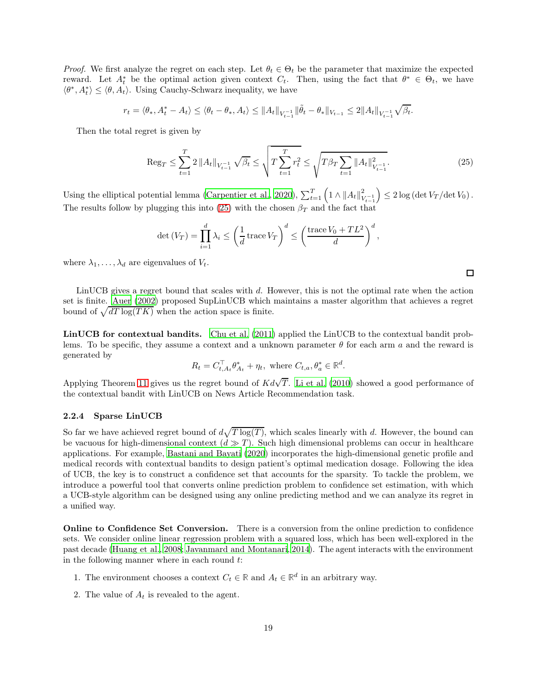*Proof.* We first analyze the regret on each step. Let  $\theta_t \in \Theta_t$  be the parameter that maximize the expected reward. Let  $A_t^*$  be the optimal action given context  $C_t$ . Then, using the fact that  $\theta^* \in \Theta_t$ , we have  $\langle \theta^*, A_t^* \rangle \leq \langle \theta, A_t \rangle$ . Using Cauchy-Schwarz inequality, we have

$$
r_t = \langle \theta_*, A^*_t - A_t \rangle \leq \langle \theta_t - \theta_*, A_t \rangle \leq \|A_t\|_{V_{t-1}^{-1}} \|\tilde{\theta}_t - \theta_*\|_{V_{t-1}} \leq 2 \|A_t\|_{V_{t-1}^{-1}} \sqrt{\beta_t}.
$$

Then the total regret is given by

<span id="page-18-0"></span>
$$
\operatorname{Reg}_{T} \leq \sum_{t=1}^{T} 2 \|A_t\|_{V_{t-1}^{-1}} \sqrt{\beta_t} \leq \sqrt{T \sum_{t=1}^{T} r_t^2} \leq \sqrt{T \beta_T \sum_{t=1}^{T} \|A_t\|_{V_{t-1}^{-1}}^2}.
$$
 (25)

Using the elliptical potential lemma [\(Carpentier et al.](#page-33-5), [2020](#page-33-5)),  $\sum_{t=1}^{T} \left( 1 \wedge \| A_t \|_{V}^2 \right)$  $V_{t-1}^{-1}$  $\Big) \leq 2 \log \left( \det V_T / \det V_0 \right).$ The results follow by plugging this into [\(25\)](#page-18-0) with the chosen  $\beta_T$  and the fact that

$$
\det\left(V_T\right) = \prod_{i=1}^d \lambda_i \le \left(\frac{1}{d}\operatorname{trace} V_T\right)^d \le \left(\frac{\operatorname{trace} V_0 + TL^2}{d}\right)^d,
$$

where  $\lambda_1, \ldots, \lambda_d$  are eigenvalues of  $V_t$ .

LinUCB gives a regret bound that scales with d. However, this is not the optimal rate when the action set is finite. [Auer \(2002\)](#page-32-7) proposed SupLinUCB which maintains a master algorithm that achieves a regret bound of  $\sqrt{dT \log(T K)}$  when the action space is finite.

LinUCB for contextual bandits. [Chu et al. \(2011\)](#page-33-6) applied the LinUCB to the contextual bandit problems. To be specific, they assume a context and a unknown parameter  $\theta$  for each arm a and the reward is generated by

$$
R_t = C_{t,A_t}^\top \theta_{A_t}^* + \eta_t, \text{ where } C_{t,a}, \theta_a^* \in \mathbb{R}^d.
$$

Applying Theorem [11](#page-17-5) gives us the regret bound of  $Kd\sqrt{T}$ . [Li et al. \(2010](#page-35-9)) showed a good performance of the contextual bandit with LinUCB on News Article Recommendation task.

#### 2.2.4 Sparse LinUCB

So far we have achieved regret bound of  $d\sqrt{T \log(T)}$ , which scales linearly with d. However, the bound can be vacuous for high-dimensional context  $(d \gg T)$ . Such high dimensional problems can occur in healthcare applications. For example, [Bastani and Bayati \(2020](#page-32-8)) incorporates the high-dimensional genetic profile and medical records with contextual bandits to design patient's optimal medication dosage. Following the idea of UCB, the key is to construct a confidence set that accounts for the sparsity. To tackle the problem, we introduce a powerful tool that converts online prediction problem to confidence set estimation, with which a UCB-style algorithm can be designed using any online predicting method and we can analyze its regret in a unified way.

Online to Confidence Set Conversion. There is a conversion from the online prediction to confidence sets. We consider online linear regression problem with a squared loss, which has been well-explored in the past decade [\(Huang et al., 2008;](#page-34-5) [Javanmard and Montanari, 2014\)](#page-34-6). The agent interacts with the environment in the following manner where in each round  $t$ :

- 1. The environment chooses a context  $C_t \in \mathbb{R}$  and  $A_t \in \mathbb{R}^d$  in an arbitrary way.
- 2. The value of  $A_t$  is revealed to the agent.

 $\Box$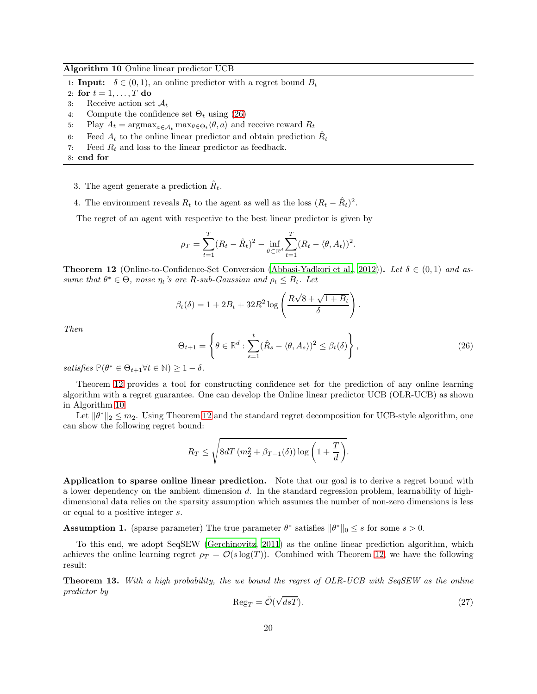Algorithm 10 Online linear predictor UCB

1: **Input:**  $\delta \in (0, 1)$ , an online predictor with a regret bound  $B_t$ 

- 2: for  $t = 1, \ldots, T$  do
- 3: Receive action set  $A_t$ <br>4: Compute the confider
- Compute the confidence set  $\Theta_t$  using [\(26\)](#page-19-0)
- 5: Play  $A_t = \operatorname{argmax}_{a \in A_t} \max_{\theta \in \Theta_t} \langle \theta, a \rangle$  and receive reward  $R_t$
- 6: Feed  $A_t$  to the online linear predictor and obtain prediction  $\hat{R}_t$
- <span id="page-19-2"></span>7: Feed  $R_t$  and loss to the linear predictor as feedback.
- 8: end for
	- 3. The agent generate a prediction  $\hat{R}_t$ .
	- 4. The environment reveals  $R_t$  to the agent as well as the loss  $(R_t \hat{R}_t)^2$ .

The regret of an agent with respective to the best linear predictor is given by

$$
\rho_T = \sum_{t=1}^T (R_t - \hat{R}_t)^2 - \inf_{\theta \subset \mathbb{R}^d} \sum_{t=1}^T (R_t - \langle \theta, A_t \rangle)^2.
$$

<span id="page-19-1"></span>**Theorem 12** (Online-to-Confidence-Set Conversion [\(Abbasi-Yadkori et](#page-31-1) al., [2012\)](#page-31-1)). Let  $\delta \in (0,1)$  and assume that  $\theta^* \in \Theta$ , noise  $\eta_t$ 's are R-sub-Gaussian and  $\rho_t \leq B_t$ . Let

$$
\beta_t(\delta) = 1 + 2B_t + 32R^2 \log \left( \frac{R\sqrt{8} + \sqrt{1 + B_t}}{\delta} \right)
$$

<span id="page-19-0"></span>Then

$$
\Theta_{t+1} = \left\{ \theta \in \mathbb{R}^d : \sum_{s=1}^t (\hat{R}_s - \langle \theta, A_s \rangle)^2 \le \beta_t(\delta) \right\},\tag{26}
$$

.

satisfies  $\mathbb{P}(\theta^* \in \Theta_{t+1} \forall t \in \mathbb{N}) \geq 1 - \delta$ .

Theorem [12](#page-19-1) provides a tool for constructing confidence set for the prediction of any online learning algorithm with a regret guarantee. One can develop the Online linear predictor UCB (OLR-UCB) as shown in Algorithm [10.](#page-19-2)

Let  $\|\theta^*\|_2 \leq m_2$ . Using Theorem [12](#page-19-1) and the standard regret decomposition for UCB-style algorithm, one can show the following regret bound:

$$
R_T \le \sqrt{8dT \left(m_2^2 + \beta_{T-1}(\delta)\right) \log\left(1 + \frac{T}{d}\right)}.
$$

Application to sparse online linear prediction. Note that our goal is to derive a regret bound with a lower dependency on the ambient dimension d. In the standard regression problem, learnability of highdimensional data relies on the sparsity assumption which assumes the number of non-zero dimensions is less or equal to a positive integer s.

**Assumption 1.** (sparse parameter) The true parameter  $\theta^*$  satisfies  $\|\theta^*\|_0 \leq s$  for some  $s > 0$ .

To this end, we adopt SeqSEW [\(Gerchinovitz, 2011\)](#page-34-7) as the online linear prediction algorithm, which achieves the online learning regret  $\rho_T = \mathcal{O}(s \log(T))$ . Combined with Theorem [12,](#page-19-1) we have the following result:

<span id="page-19-3"></span>Theorem 13. With a high probability, the we bound the regret of OLR-UCB with SeqSEW as the online predictor by

$$
\text{Reg}_T = \tilde{\mathcal{O}}(\sqrt{dsT}).\tag{27}
$$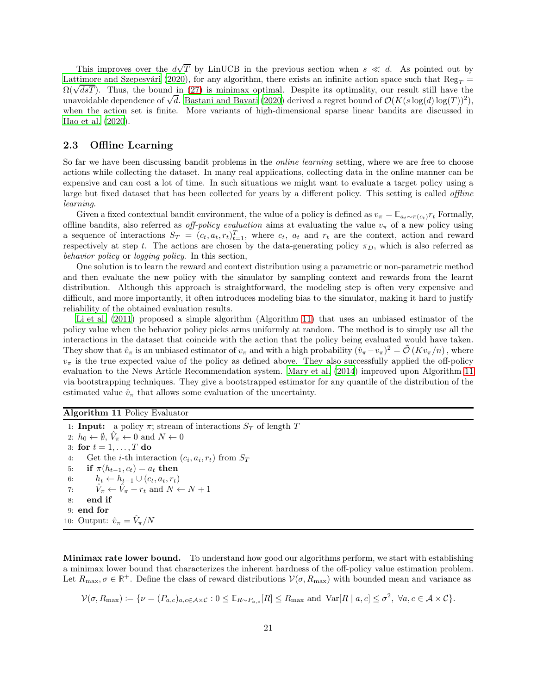This improves over the  $d\sqrt{T}$  by LinUCB in the previous section when  $s \ll d$ . As pointed out by [Lattimore and Szepesvári \(2020\)](#page-35-1), for any algorithm, there exists an infinite action space such that  $\text{Reg}_T$  =  $\Omega(\sqrt{dsT})$ . Thus, the bound in [\(27\)](#page-19-3) is minimax optimal. Despite its optimality, our result still have the unavoidable dependence of  $\sqrt{d}$ . [Bastani and Bayati \(2020\)](#page-32-8) derived a regret bound of  $\mathcal{O}(K(s \log(d) \log(T))^2)$ , when the action set is finite. More variants of high-dimensional sparse linear bandits are discussed in [Hao et al. \(2020\)](#page-34-8).

## 2.3 Offline Learning

So far we have been discussing bandit problems in the *online learning* setting, where we are free to choose actions while collecting the dataset. In many real applications, collecting data in the online manner can be expensive and can cost a lot of time. In such situations we might want to evaluate a target policy using a large but fixed dataset that has been collected for years by a different policy. This setting is called *offline* learning.

Given a fixed contextual bandit environment, the value of a policy is defined as  $v_\pi = \mathbb{E}_{a_t \sim \pi(c_t)} r_t$  Formally, offline bandits, also referred as *off-policy evaluation* aims at evaluating the value  $v_{\pi}$  of a new policy using a sequence of interactions  $S_T = (c_t, a_t, r_t)_{t=1}^T$ , where  $c_t$ ,  $a_t$  and  $r_t$  are the context, action and reward respectively at step t. The actions are chosen by the data-generating policy  $\pi_D$ , which is also referred as behavior policy or logging policy. In this section,

One solution is to learn the reward and context distribution using a parametric or non-parametric method and then evaluate the new policy with the simulator by sampling context and rewards from the learnt distribution. Although this approach is straightforward, the modeling step is often very expensive and difficult, and more importantly, it often introduces modeling bias to the simulator, making it hard to justify reliability of the obtained evaluation results.

[Li et al. \(2011](#page-35-10)) proposed a simple algorithm (Algorithm [11\)](#page-20-0) that uses an unbiased estimator of the policy value when the behavior policy picks arms uniformly at random. The method is to simply use all the interactions in the dataset that coincide with the action that the policy being evaluated would have taken. They show that  $\hat{v}_\pi$  is an unbiased estimator of  $v_\pi$  and with a high probability  $(\hat{v}_\pi - v_\pi)^2 = \tilde{\mathcal{O}}(Kv_\pi/n)$ , where  $v_{\pi}$  is the true expected value of the policy as defined above. They also successfully applied the off-policy evaluation to the News Article Recommendation system. [Mary](#page-36-4) et al. [\(2014\)](#page-36-4) improved upon Algorithm [11](#page-20-0) via bootstrapping techniques. They give a bootstrapped estimator for any quantile of the distribution of the estimated value  $\hat{v}_{\pi}$  that allows some evaluation of the uncertainty.

#### Algorithm 11 Policy Evaluator

1: **Input:** a policy  $\pi$ ; stream of interactions  $S_T$  of length T 2:  $h_0 \leftarrow \emptyset$ ,  $\hat{V}_\pi \leftarrow 0$  and  $N \leftarrow 0$ 3: for  $t = 1, \ldots, T$  do 4: Get the *i*-th interaction  $(c_i, a_i, r_t)$  from  $S_T$ 5: if  $\pi(h_{t-1}, c_t) = a_t$  then 6:  $h_t \leftarrow h_{t-1} \cup (c_t, a_t, r_t)$ 7:  $\hat{V}_{\pi} \leftarrow \hat{V}_{\pi} + r_t \text{ and } N \leftarrow N + 1$ 8: end if 9: end for 10: Output:  $\hat{v}_{\pi} = \hat{V}_{\pi}/N$ 

<span id="page-20-0"></span>Minimax rate lower bound. To understand how good our algorithms perform, we start with establishing a minimax lower bound that characterizes the inherent hardness of the off-policy value estimation problem. Let  $R_{\text{max}}, \sigma \in \mathbb{R}^+$ . Define the class of reward distributions  $\mathcal{V}(\sigma, R_{\text{max}})$  with bounded mean and variance as

$$
\mathcal{V}(\sigma, R_{\max}) \coloneqq \{ \nu = (P_{a,c})_{a,c \in \mathcal{A} \times \mathcal{C}} : 0 \leq \mathbb{E}_{R \sim P_{a,c}}[R] \leq R_{\max} \text{ and } \text{Var}[R \mid a,c] \leq \sigma^2, \ \forall a,c \in \mathcal{A} \times \mathcal{C} \}.
$$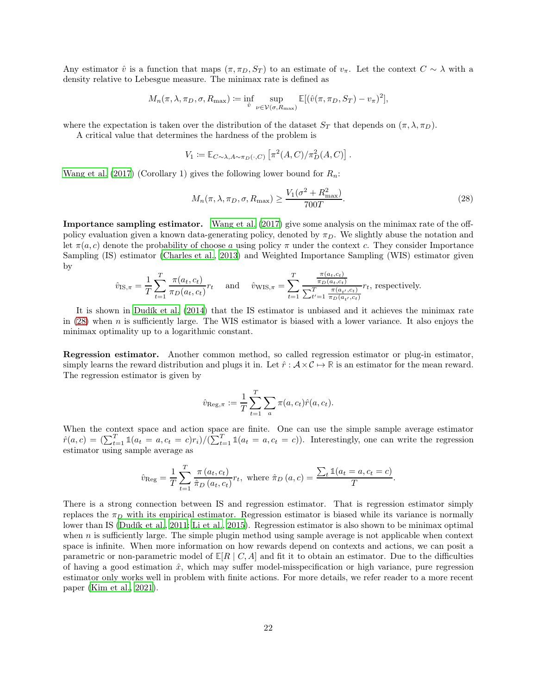Any estimator  $\hat{v}$  is a function that maps  $(\pi, \pi_D, S_T)$  to an estimate of  $v_\pi$ . Let the context  $C \sim \lambda$  with a density relative to Lebesgue measure. The minimax rate is defined as

$$
M_n(\pi,\lambda,\pi_D,\sigma,R_{\max})\coloneqq\inf_{\hat{v}}\sup_{\nu\in\mathcal{V}(\sigma,R_{\max})}\mathbb{E}[(\hat{v}(\pi,\pi_D,S_T)-v_\pi)^2],
$$

where the expectation is taken over the distribution of the dataset  $S_T$  that depends on  $(\pi, \lambda, \pi_D)$ .

A critical value that determines the hardness of the problem is

$$
V_1 := \mathbb{E}_{C \sim \lambda, A \sim \pi_D(\cdot, C)} \left[ \pi^2(A, C) / \pi_D^2(A, C) \right].
$$

[Wang et al. \(2017\)](#page-38-6) (Corollary 1) gives the following lower bound for  $R_n$ :

<span id="page-21-0"></span>
$$
M_n(\pi, \lambda, \pi_D, \sigma, R_{\text{max}}) \ge \frac{V_1(\sigma^2 + R_{\text{max}}^2)}{700T}.
$$
\n(28)

Importance sampling estimator. [Wang et al. \(2017\)](#page-38-6) give some analysis on the minimax rate of the offpolicy evaluation given a known data-generating policy, denoted by  $\pi_D$ . We slightly abuse the notation and let  $\pi(a, c)$  denote the probability of choose a using policy  $\pi$  under the context c. They consider Importance Sampling (IS) estimator [\(Charles et al.](#page-33-7), [2013\)](#page-33-7) and Weighted Importance Sampling (WIS) estimator given by

$$
\hat{v}_{\text{IS},\pi} = \frac{1}{T} \sum_{t=1}^{T} \frac{\pi(a_t, c_t)}{\pi_D(a_t, c_t)} r_t \quad \text{and} \quad \hat{v}_{\text{WIS},\pi} = \sum_{t=1}^{T} \frac{\frac{\pi(a_t, c_t)}{\pi_D(a_t, c_t)}}{\sum_{t'=1}^{T} \frac{\pi(a_t, c_t)}{\pi_D(a_{t'}, c_t)}} r_t \text{, respectively.}
$$

It is shown in [Dudík et al. \(2014\)](#page-33-8) that the IS estimator is unbiased and it achieves the minimax rate in [\(28\)](#page-21-0) when n is sufficiently large. The WIS estimator is biased with a lower variance. It also enjoys the minimax optimality up to a logarithmic constant.

Regression estimator. Another common method, so called regression estimator or plug-in estimator, simply learns the reward distribution and plugs it in. Let  $\hat{r} : \mathcal{A} \times \mathcal{C} \mapsto \mathbb{R}$  is an estimator for the mean reward. The regression estimator is given by

$$
\hat{v}_{\text{Reg}, \pi} := \frac{1}{T} \sum_{t=1}^{T} \sum_{a} \pi(a, c_t) \hat{r}(a, c_t).
$$

When the context space and action space are finite. One can use the simple sample average estimator  $\hat{r}(a,c) = (\sum_{t=1}^T \mathbb{1}(a_t = a, c_t = c)r_i)/(\sum_{t=1}^T \mathbb{1}(a_t = a, c_t = c)).$  Interestingly, one can write the regression estimator using sample average as

$$
\hat{v}_{\text{Reg}} = \frac{1}{T} \sum_{t=1}^{T} \frac{\pi (a_t, c_t)}{\hat{\pi}_D (a_t, c_t)} r_t, \text{ where } \hat{\pi}_D (a, c) = \frac{\sum_t \mathbb{1}(a_t = a, c_t = c)}{T}.
$$

There is a strong connection between IS and regression estimator. That is regression estimator simply replaces the  $\pi_D$  with its empirical estimator. Regression estimator is biased while its variance is normally lower than IS [\(Dudík et al.](#page-33-9), [2011;](#page-33-9) [Li et al., 2015](#page-35-11)). Regression estimator is also shown to be minimax optimal when n is sufficiently large. The simple plugin method using sample average is not applicable when context space is infinite. When more information on how rewards depend on contexts and actions, we can posit a parametric or non-parametric model of  $\mathbb{E}[R \mid C, A]$  and fit it to obtain an estimator. Due to the difficulties of having a good estimation  $\hat{x}$ , which may suffer model-misspecification or high variance, pure regression estimator only works well in problem with finite actions. For more details, we refer reader to a more recent paper [\(Kim et al.](#page-35-12), [2021](#page-35-12)).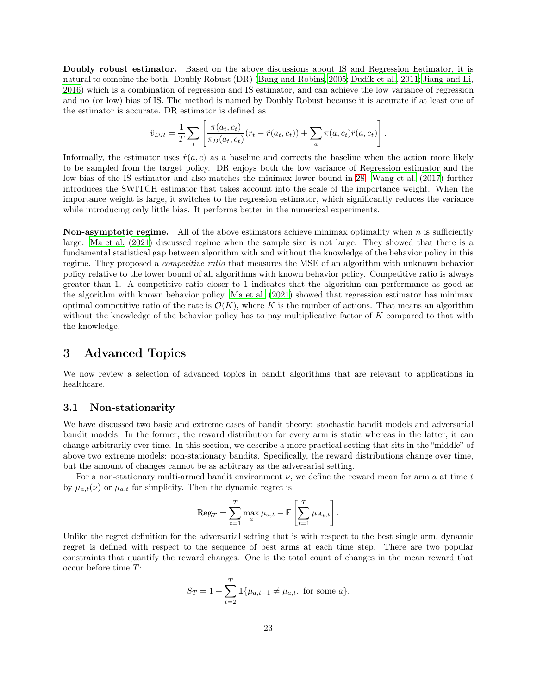Doubly robust estimator. Based on the above discussions about IS and Regression Estimator, it is natural to combine the both. Doubly Robust (DR) [\(Bang and Robins, 2005;](#page-32-9) [Dudík et al.](#page-33-9), [2011](#page-33-9); [Jiang and Li](#page-34-9), [2016\)](#page-34-9) which is a combination of regression and IS estimator, and can achieve the low variance of regression and no (or low) bias of IS. The method is named by Doubly Robust because it is accurate if at least one of the estimator is accurate. DR estimator is defined as

$$
\hat{v}_{DR} = \frac{1}{T} \sum_{t} \left[ \frac{\pi(a_t, c_t)}{\pi_D(a_t, c_t)} (r_t - \hat{r}(a_t, c_t)) + \sum_{a} \pi(a, c_t) \hat{r}(a, c_t) \right].
$$

Informally, the estimator uses  $\hat{r}(a, c)$  as a baseline and corrects the baseline when the action more likely to be sampled from the target policy. DR enjoys both the low variance of Regression estimator and the low bias of the IS estimator and also matches the minimax lower bound in [28.](#page-21-0) [Wang et al. \(2017](#page-38-6)) further introduces the SWITCH estimator that takes account into the scale of the importance weight. When the importance weight is large, it switches to the regression estimator, which significantly reduces the variance while introducing only little bias. It performs better in the numerical experiments.

**Non-asymptotic regime.** All of the above estimators achieve minimax optimality when  $n$  is sufficiently large. [Ma et al. \(2021](#page-36-5)) discussed regime when the sample size is not large. They showed that there is a fundamental statistical gap between algorithm with and without the knowledge of the behavior policy in this regime. They proposed a competitive ratio that measures the MSE of an algorithm with unknown behavior policy relative to the lower bound of all algorithms with known behavior policy. Competitive ratio is always greater than 1. A competitive ratio closer to 1 indicates that the algorithm can performance as good as the algorithm with known behavior policy. [Ma et al. \(2021\)](#page-36-5) showed that regression estimator has minimax optimal competitive ratio of the rate is  $\mathcal{O}(K)$ , where K is the number of actions. That means an algorithm without the knowledge of the behavior policy has to pay multiplicative factor of  $K$  compared to that with the knowledge.

# <span id="page-22-0"></span>3 Advanced Topics

We now review a selection of advanced topics in bandit algorithms that are relevant to applications in healthcare.

## <span id="page-22-1"></span>3.1 Non-stationarity

We have discussed two basic and extreme cases of bandit theory: stochastic bandit models and adversarial bandit models. In the former, the reward distribution for every arm is static whereas in the latter, it can change arbitrarily over time. In this section, we describe a more practical setting that sits in the "middle" of above two extreme models: non-stationary bandits. Specifically, the reward distributions change over time, but the amount of changes cannot be as arbitrary as the adversarial setting.

For a non-stationary multi-armed bandit environment  $\nu$ , we define the reward mean for arm a at time t by  $\mu_{a,t}(\nu)$  or  $\mu_{a,t}$  for simplicity. Then the dynamic regret is

$$
\operatorname{Reg}_T = \sum_{t=1}^T \max_a \mu_{a,t} - \mathbb{E}\left[\sum_{t=1}^T \mu_{A_t, t}\right].
$$

Unlike the regret definition for the adversarial setting that is with respect to the best single arm, dynamic regret is defined with respect to the sequence of best arms at each time step. There are two popular constraints that quantify the reward changes. One is the total count of changes in the mean reward that occur before time  $T$ :

$$
S_T = 1 + \sum_{t=2}^{T} \mathbb{1}\{\mu_{a,t-1} \neq \mu_{a,t}, \text{ for some } a\}.
$$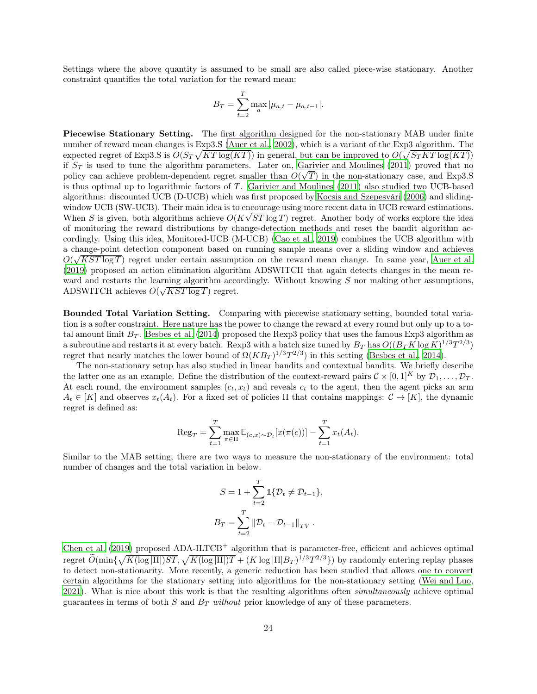Settings where the above quantity is assumed to be small are also called piece-wise stationary. Another constraint quantifies the total variation for the reward mean:

$$
B_T = \sum_{t=2}^T \max_a |\mu_{a,t} - \mu_{a,t-1}|.
$$

Piecewise Stationary Setting. The first algorithm designed for the non-stationary MAB under finite number of reward mean changes is Exp3.S [\(Auer et al.](#page-32-10), [2002\)](#page-32-10), which is a variant of the Exp3 algorithm. The expected regret of Exp3.S is  $O(S_T\sqrt{KT\log(KT)})$  in general, but can be improved to  $O(\sqrt{S_TKT\log(KT)})$ if  $S_T$  is used to tune the algorithm parameters. Later on, Garivier [and Moulines \(2011](#page-34-10)) proved that no policy can achieve problem-dependent regret smaller than  $O(\sqrt{T})$  in the non-stationary case, and Exp3.S is thus optimal up to logarithmic factors of T . [Garivier and Moulines \(2011\)](#page-34-10) also studied two UCB-based algorithms: discounted UCB (D-UCB) which was first proposed by [Kocsis and Szepesvári \(2006\)](#page-35-13) and slidingwindow UCB (SW-UCB). Their main idea is to encourage using more recent data in UCB reward estimations. When S is given, both algorithms achieve  $O(K\sqrt{ST} \log T)$  regret. Another body of works explore the idea of monitoring the reward distributions by change-detection methods and reset the bandit algorithm accordingly. Using this idea, Monitored-UCB (M-UCB) [\(Cao et al.](#page-33-10), [2019](#page-33-10)) combines the UCB algorithm with a change-point detection component based on running sample means over a sliding window and achieves  $O(\sqrt{KST \log T})$  regret under certain assumption on the reward mean change. In same year, [Auer et al.](#page-32-11) [\(2019\)](#page-32-11) proposed an action elimination algorithm ADSWITCH that again detects changes in the mean reward and restarts the learning algorithm accordingly. Without knowing  $S$  nor making other assumptions, ADSWITCH achieves  $O(\sqrt{KST \log T})$  regret.

Bounded Total Variation Setting. Comparing with piecewise stationary setting, bounded total variation is a softer constraint. Here nature has the power to change the reward at every round but only up to a total amount limit  $B_T$ . [Besbes et al. \(2014\)](#page-32-12) proposed the Rexp3 policy that uses the famous Exp3 algorithm as a subroutine and restarts it at every batch. Rexp3 with a batch size tuned by  $B_T$  has  $O((B_T K \log K)^{1/3} T^{2/3})$ regret that nearly matches the lower bound of  $\Omega(KB_T)^{1/3}T^{2/3}$  in this setting [\(Besbes et al.](#page-32-12), [2014\)](#page-32-12).

The non-stationary setup has also studied in linear bandits and contextual bandits. We briefly describe the latter one as an example. Define the distribution of the context-reward pairs  $C \times [0,1]^K$  by  $\mathcal{D}_1,\ldots,\mathcal{D}_T$ . At each round, the environment samples  $(c_t, x_t)$  and reveals  $c_t$  to the agent, then the agent picks an arm  $A_t \in [K]$  and observes  $x_t(A_t)$ . For a fixed set of policies  $\Pi$  that contains mappings:  $C \to [K]$ , the dynamic regret is defined as:

$$
\text{Reg}_{T} = \sum_{t=1}^{T} \max_{\pi \in \Pi} \mathbb{E}_{(c,x) \sim \mathcal{D}_{t}}[x(\pi(c))] - \sum_{t=1}^{T} x_{t}(A_{t}).
$$

Similar to the MAB setting, there are two ways to measure the non-stationary of the environment: total number of changes and the total variation in below.

$$
S = 1 + \sum_{t=2}^{T} \mathbb{1} \{ \mathcal{D}_t \neq \mathcal{D}_{t-1} \},
$$
  

$$
B_T = \sum_{t=2}^{T} \| \mathcal{D}_t - \mathcal{D}_{t-1} \|_{TV}.
$$

Chen et al.  $(2019)$  proposed ADA-ILTCB<sup>+</sup> algorithm that is parameter-free, efficient and achieves optimal regret  $\widetilde{O}(\min\{\sqrt{K(\log |\Pi|)ST},\sqrt{K(\log |\Pi|)T} + (K\log |\Pi|B_T)^{1/3}T^{2/3}\})$  by randomly entering replay phases to detect non-stationarity. More recently, a generic reduction has been studied that allows one to convert certain algorithms for the stationary setting into algorithms for the non-stationary setting [\(Wei and Luo](#page-38-7), [2021\)](#page-38-7). What is nice about this work is that the resulting algorithms often *simultaneously* achieve optimal guarantees in terms of both  $S$  and  $B_T$  without prior knowledge of any of these parameters.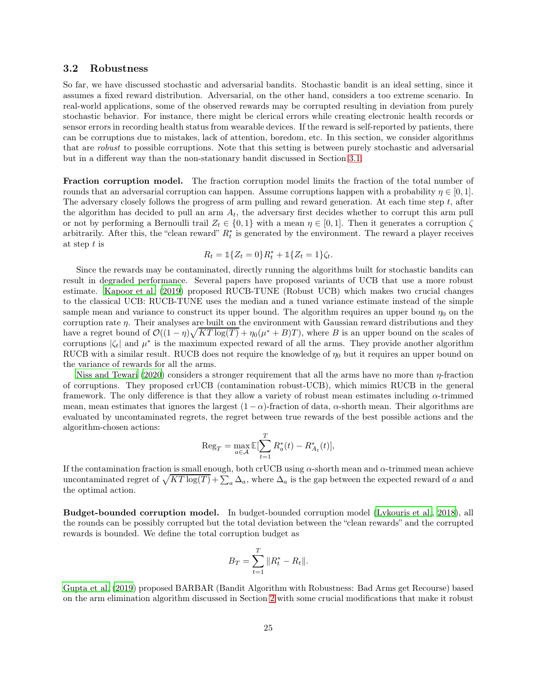### 3.2 Robustness

So far, we have discussed stochastic and adversarial bandits. Stochastic bandit is an ideal setting, since it assumes a fixed reward distribution. Adversarial, on the other hand, considers a too extreme scenario. In real-world applications, some of the observed rewards may be corrupted resulting in deviation from purely stochastic behavior. For instance, there might be clerical errors while creating electronic health records or sensor errors in recording health status from wearable devices. If the reward is self-reported by patients, there can be corruptions due to mistakes, lack of attention, boredom, etc. In this section, we consider algorithms that are robust to possible corruptions. Note that this setting is between purely stochastic and adversarial but in a different way than the non-stationary bandit discussed in Section [3.1.](#page-22-1)

Fraction corruption model. The fraction corruption model limits the fraction of the total number of rounds that an adversarial corruption can happen. Assume corruptions happen with a probability  $\eta \in [0,1]$ . The adversary closely follows the progress of arm pulling and reward generation. At each time step  $t$ , after the algorithm has decided to pull an arm  $A_t$ , the adversary first decides whether to corrupt this arm pull or not by performing a Bernoulli trail  $Z_t \in \{0,1\}$  with a mean  $\eta \in [0,1]$ . Then it generates a corruption  $\zeta$ arbitrarily. After this, the "clean reward"  $R_t^*$  is generated by the environment. The reward a player receives at step t is

$$
R_t = \mathbb{1}\{Z_t = 0\}R_t^* + \mathbb{1}\{Z_t = 1\}\zeta_t.
$$

Since the rewards may be contaminated, directly running the algorithms built for stochastic bandits can result in degraded performance. Several papers have proposed variants of UCB that use a more robust estimate. [Kapoor et al. \(2019\)](#page-34-11) proposed RUCB-TUNE (Robust UCB) which makes two crucial changes to the classical UCB: RUCB-TUNE uses the median and a tuned variance estimate instead of the simple sample mean and variance to construct its upper bound. The algorithm requires an upper bound  $\eta_0$  on the corruption rate η. Their analyses are built on the environment with Gaussian reward distributions and they have a regret bound of  $\mathcal{O}((1 - \eta)\sqrt{KT \log(T)} + \eta_0(\mu^* + B)T)$ , where B is an upper bound on the scales of corruptions  $|\zeta_t|$  and  $\mu^*$  is the maximum expected reward of all the arms. They provide another algorithm RUCB with a similar result. RUCB does not require the knowledge of  $\eta_0$  but it requires an upper bound on the variance of rewards for all the arms.

[Niss and Tewari \(2020](#page-36-6)) considers a stronger requirement that all the arms have no more than  $\eta$ -fraction of corruptions. They proposed crUCB (contamination robust-UCB), which mimics RUCB in the general framework. The only difference is that they allow a variety of robust mean estimates including  $\alpha$ -trimmed mean, mean estimates that ignores the largest  $(1 - \alpha)$ -fraction of data,  $\alpha$ -shorth mean. Their algorithms are evaluated by uncontaminated regrets, the regret between true rewards of the best possible actions and the algorithm-chosen actions:

$$
\mathrm{Reg}_T = \max_{a \in \mathcal{A}} \mathbb{E}[\sum_{t=1}^T R_a^*(t) - R_{A_t}^*(t)],
$$

If the contamination fraction is small enough, both crUCB using  $\alpha$ -shorth mean and  $\alpha$ -trimmed mean achieve uncontaminated regret of  $\sqrt{KT \log(T)} + \sum_a \Delta_a$ , where  $\Delta_a$  is the gap between the expected reward of a and the optimal action.

Budget-bounded corruption model. In budget-bounded corruption model [\(Lykouris et al., 2018](#page-36-7)), all the rounds can be possibly corrupted but the total deviation between the "clean rewards" and the corrupted rewards is bounded. We define the total corruption budget as

$$
B_T = \sum_{t=1}^T \|R_t^* - R_t\|.
$$

[Gupta et al. \(2019\)](#page-34-12) proposed BARBAR (Bandit Algorithm with Robustness: Bad Arms get Recourse) based on the arm elimination algorithm discussed in Section [2](#page-1-0) with some crucial modifications that make it robust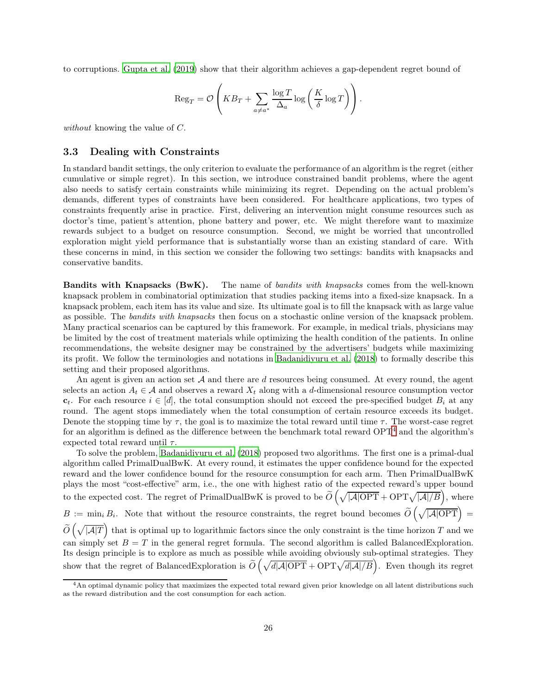to corruptions. [Gupta et al. \(2019](#page-34-12)) show that their algorithm achieves a gap-dependent regret bound of

$$
\operatorname{Reg}_{T} = \mathcal{O}\left(KB_{T} + \sum_{a \neq a^*} \frac{\log T}{\Delta_a} \log\left(\frac{K}{\delta} \log T\right)\right).
$$

without knowing the value of C.

## 3.3 Dealing with Constraints

In standard bandit settings, the only criterion to evaluate the performance of an algorithm is the regret (either cumulative or simple regret). In this section, we introduce constrained bandit problems, where the agent also needs to satisfy certain constraints while minimizing its regret. Depending on the actual problem's demands, different types of constraints have been considered. For healthcare applications, two types of constraints frequently arise in practice. First, delivering an intervention might consume resources such as doctor's time, patient's attention, phone battery and power, etc. We might therefore want to maximize rewards subject to a budget on resource consumption. Second, we might be worried that uncontrolled exploration might yield performance that is substantially worse than an existing standard of care. With these concerns in mind, in this section we consider the following two settings: bandits with knapsacks and conservative bandits.

Bandits with Knapsacks (BwK). The name of bandits with knapsacks comes from the well-known knapsack problem in combinatorial optimization that studies packing items into a fixed-size knapsack. In a knapsack problem, each item has its value and size. Its ultimate goal is to fill the knapsack with as large value as possible. The bandits with knapsacks then focus on a stochastic online version of the knapsack problem. Many practical scenarios can be captured by this framework. For example, in medical trials, physicians may be limited by the cost of treatment materials while optimizing the health condition of the patients. In online recommendations, the website designer may be constrained by the advertisers' budgets while maximizing its profit. We follow the terminologies and notations in [Badanidiyuru et al. \(2018\)](#page-32-13) to formally describe this setting and their proposed algorithms.

An agent is given an action set  $A$  and there are d resources being consumed. At every round, the agent selects an action  $A_t \in \mathcal{A}$  and observes a reward  $X_t$  along with a d-dimensional resource consumption vector  $c_t$ . For each resource  $i \in [d]$ , the total consumption should not exceed the pre-specified budget  $B_i$  at any round. The agent stops immediately when the total consumption of certain resource exceeds its budget. Denote the stopping time by  $\tau$ , the goal is to maximize the total reward until time  $\tau$ . The worst-case regret for an algorithm is defined as the difference between the benchmark total reward  $OPT<sup>4</sup>$  $OPT<sup>4</sup>$  $OPT<sup>4</sup>$  and the algorithm's expected total reward until  $\tau$ .

To solve the problem, [Badanidiyuru et al. \(2018\)](#page-32-13) proposed two algorithms. The first one is a primal-dual algorithm called PrimalDualBwK. At every round, it estimates the upper confidence bound for the expected reward and the lower confidence bound for the resource consumption for each arm. Then PrimalDualBwK plays the most "cost-effective" arm, i.e., the one with highest ratio of the expected reward's upper bound to the expected cost. The regret of PrimalDualBwK is proved to be  $\tilde{O}(\sqrt{|A|OPT} + \text{OPT}\sqrt{|A|/B})$ , where  $B := \min_i B_i$ . Note that without the resource constraints, the regret bound becomes  $\widetilde{O}(\sqrt{|A|OPT}) =$  $\widetilde{O}(\sqrt{|\mathcal{A}|T})$  that is optimal up to logarithmic factors since the only constraint is the time horizon T and we can simply set  $B = T$  in the general regret formula. The second algorithm is called BalancedExploration. Its design principle is to explore as much as possible while avoiding obviously sub-optimal strategies. They show that the regret of BalancedExploration is  $\widetilde{O}(\sqrt{d|A|OPT} + OPT\sqrt{d|A|/B})$ . Even though its regret

<span id="page-25-0"></span><sup>4</sup>An optimal dynamic policy that maximizes the expected total reward given prior knowledge on all latent distributions such as the reward distribution and the cost consumption for each action.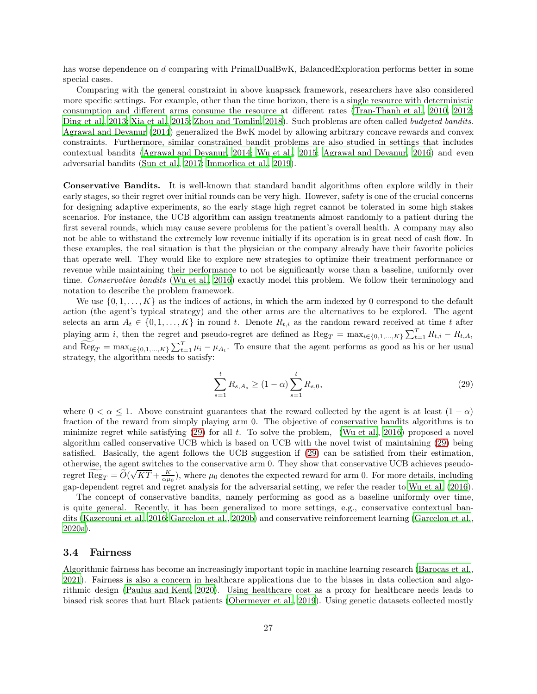has worse dependence on d comparing with PrimalDualBwK, BalancedExploration performs better in some special cases.

Comparing with the general constraint in above knapsack framework, researchers have also considered more specific settings. For example, other than the time horizon, there is a single resource with deterministic consumption and different arms consume the resource at different rates [\(Tran-Thanh et al., 2010,](#page-38-8) [2012](#page-38-9); [Ding et al.](#page-33-12), [2013;](#page-33-12) [Xia et al.](#page-38-10), [2015;](#page-38-10) [Zhou and Tomlin, 2018](#page-38-11)). Such problems are often called budgeted bandits. [Agrawal and Devanur \(2014\)](#page-32-14) generalized the BwK model by allowing arbitrary concave rewards and convex constraints. Furthermore, similar constrained bandit problems are also studied in settings that includes contextual bandits [\(Agrawal and Devanur, 2014;](#page-32-14) [Wu et al.](#page-38-12), [2015](#page-38-12); [Agrawal and Devanur, 2016](#page-32-15)) and even adversarial bandits [\(Sun et al., 2017;](#page-37-11) [Immorlica et al., 2019\)](#page-34-13).

Conservative Bandits. It is well-known that standard bandit algorithms often explore wildly in their early stages, so their regret over initial rounds can be very high. However, safety is one of the crucial concerns for designing adaptive experiments, so the early stage high regret cannot be tolerated in some high stakes scenarios. For instance, the UCB algorithm can assign treatments almost randomly to a patient during the first several rounds, which may cause severe problems for the patient's overall health. A company may also not be able to withstand the extremely low revenue initially if its operation is in great need of cash flow. In these examples, the real situation is that the physician or the company already have their favorite policies that operate well. They would like to explore new strategies to optimize their treatment performance or revenue while maintaining their performance to not be significantly worse than a baseline, uniformly over time. Conservative bandits [\(Wu et al., 2016\)](#page-38-13) exactly model this problem. We follow their terminology and notation to describe the problem framework.

We use  $\{0, 1, \ldots, K\}$  as the indices of actions, in which the arm indexed by 0 correspond to the default action (the agent's typical strategy) and the other arms are the alternatives to be explored. The agent selects an arm  $A_t \in \{0, 1, \ldots, K\}$  in round t. Denote  $R_{t,i}$  as the random reward received at time t after playing arm *i*, then the regret and pseudo-regret are defined as  $\text{Reg}_T = \max_{i \in \{0,1,\ldots,K\}} \sum_{t=1}^T R_{t,i} - R_{t,A_t}$ and  $\widetilde{\text{Reg}}_T = \max_{i \in \{0,1,\dots,K\}} \sum_{t=1}^T \mu_i - \mu_{A_t}$ . To ensure that the agent performs as good as his or her usual strategy, the algorithm needs to satisfy:

<span id="page-26-0"></span>
$$
\sum_{s=1}^{t} R_{s,A_s} \ge (1 - \alpha) \sum_{s=1}^{t} R_{s,0},
$$
\n(29)

where  $0 < \alpha \leq 1$ . Above constraint guarantees that the reward collected by the agent is at least  $(1 - \alpha)$ fraction of the reward from simply playing arm 0. The objective of conservative bandits algorithms is to minimize regret while satisfying  $(29)$  for all t. To solve the problem, [\(Wu et al., 2016\)](#page-38-13) proposed a novel algorithm called conservative UCB which is based on UCB with the novel twist of maintaining [\(29\)](#page-26-0) being satisfied. Basically, the agent follows the UCB suggestion if [\(29\)](#page-26-0) can be satisfied from their estimation, otherwise, the agent switches to the conservative arm 0. They show that conservative UCB achieves pseudoregret  $\widetilde{\text{Reg}}_T = \widetilde{O}(\sqrt{KT} + \frac{K}{\alpha \mu_0})$ , where  $\mu_0$  denotes the expected reward for arm 0. For more details, including gap-dependent regret and regret analysis for the adversarial setting, we refer the reader to [Wu et al. \(2016\)](#page-38-13).

The concept of conservative bandits, namely performing as good as a baseline uniformly over time, is quite general. Recently, it has been generalized to more settings, e.g., conservative contextual bandits [\(Kazerouni et al.](#page-35-14), [2016;](#page-35-14) [Garcelon et al., 2020b\)](#page-34-14) and conservative reinforcement learning [\(Garcelon et al.](#page-33-13), [2020a\)](#page-33-13).

#### 3.4 Fairness

Algorithmic fairness has become an increasingly important topic in machine learning research [\(Barocas et al.](#page-32-16), [2021\)](#page-32-16). Fairness is also a concern in healthcare applications due to the biases in data collection and algorithmic design [\(Paulus and Kent, 2020](#page-37-12)). Using healthcare cost as a proxy for healthcare needs leads to biased risk scores that hurt Black patients [\(Obermeyer et al.](#page-36-8), [2019\)](#page-36-8). Using genetic datasets collected mostly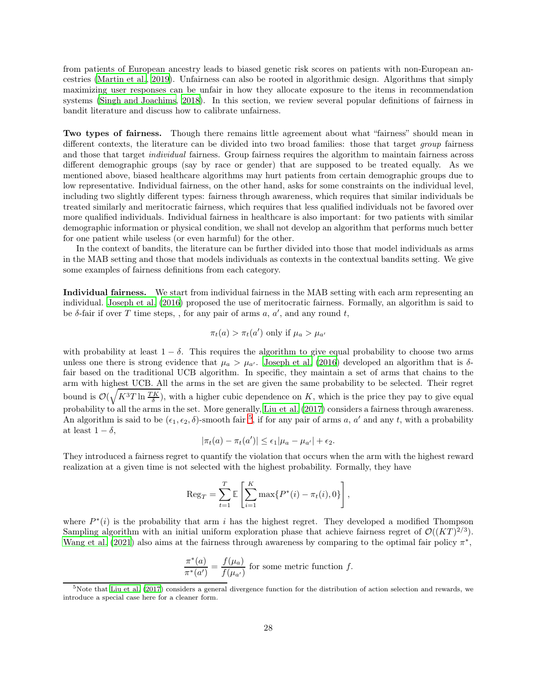from patients of European ancestry leads to biased genetic risk scores on patients with non-European ancestries [\(Martin et al., 2019\)](#page-36-9). Unfairness can also be rooted in algorithmic design. Algorithms that simply maximizing user responses can be unfair in how they allocate exposure to the items in recommendation systems [\(Singh and Joachims, 2018\)](#page-37-13). In this section, we review several popular definitions of fairness in bandit literature and discuss how to calibrate unfairness.

Two types of fairness. Though there remains little agreement about what "fairness" should mean in different contexts, the literature can be divided into two broad families: those that target group fairness and those that target *individual* fairness. Group fairness requires the algorithm to maintain fairness across different demographic groups (say by race or gender) that are supposed to be treated equally. As we mentioned above, biased healthcare algorithms may hurt patients from certain demographic groups due to low representative. Individual fairness, on the other hand, asks for some constraints on the individual level, including two slightly different types: fairness through awareness, which requires that similar individuals be treated similarly and meritocratic fairness, which requires that less qualified individuals not be favored over more qualified individuals. Individual fairness in healthcare is also important: for two patients with similar demographic information or physical condition, we shall not develop an algorithm that performs much better for one patient while useless (or even harmful) for the other.

In the context of bandits, the literature can be further divided into those that model individuals as arms in the MAB setting and those that models individuals as contexts in the contextual bandits setting. We give some examples of fairness definitions from each category.

Individual fairness. We start from individual fairness in the MAB setting with each arm representing an individual. [Joseph et al. \(2016](#page-34-15)) proposed the use of meritocratic fairness. Formally, an algorithm is said to be  $\delta$ -fair if over T time steps,, for any pair of arms  $a, a'$ , and any round t,

$$
\pi_t(a) > \pi_t(a')
$$
 only if  $\mu_a > \mu_{a'}$ 

with probability at least  $1 - \delta$ . This requires the algorithm to give equal probability to choose two arms unless one there is strong evidence that  $\mu_a > \mu_{a'}$ . [Joseph et al. \(2016\)](#page-34-15) developed an algorithm that is  $\delta$ fair based on the traditional UCB algorithm. In specific, they maintain a set of arms that chains to the arm with highest UCB. All the arms in the set are given the same probability to be selected. Their regret bound is  $\mathcal{O}(\sqrt{K^3T\ln\frac{TK}{\delta}})$ , with a higher cubic dependence on K, which is the price they pay to give equal probability to all the arms in the set. More generally, [Liu et](#page-36-10) al. [\(2017](#page-36-10)) considers a fairness through awareness. An algorithm is said to be  $(\epsilon_1, \epsilon_2, \delta)$ -smooth fair <sup>[5](#page-27-0)</sup>, if for any pair of arms a, a' and any t, with a probability at least  $1 - \delta$ ,

$$
|\pi_t(a)-\pi_t(a')|\leq \epsilon_1|\mu_a-\mu_{a'}|+\epsilon_2.
$$

They introduced a fairness regret to quantify the violation that occurs when the arm with the highest reward realization at a given time is not selected with the highest probability. Formally, they have

$$
\text{Reg}_{T} = \sum_{t=1}^{T} \mathbb{E}\left[\sum_{i=1}^{K} \max\{P^*(i) - \pi_t(i), 0\}\right],
$$

where  $P^*(i)$  is the probability that arm i has the highest regret. They developed a modified Thompson Sampling algorithm with an initial uniform exploration phase that achieve fairness regret of  $\mathcal{O}((KT)^{2/3})$ . [Wang et al. \(2021\)](#page-38-14) also aims at the fairness through awareness by comparing to the optimal fair policy  $\pi^*$ ,

$$
\frac{\pi^*(a)}{\pi^*(a')} = \frac{f(\mu_a)}{f(\mu_{a'})}
$$
 for some metric function f.

<span id="page-27-0"></span> $5$ Note that [Liu et al. \(2017](#page-36-10)) considers a general divergence function for the distribution of action selection and rewards, we introduce a special case here for a cleaner form.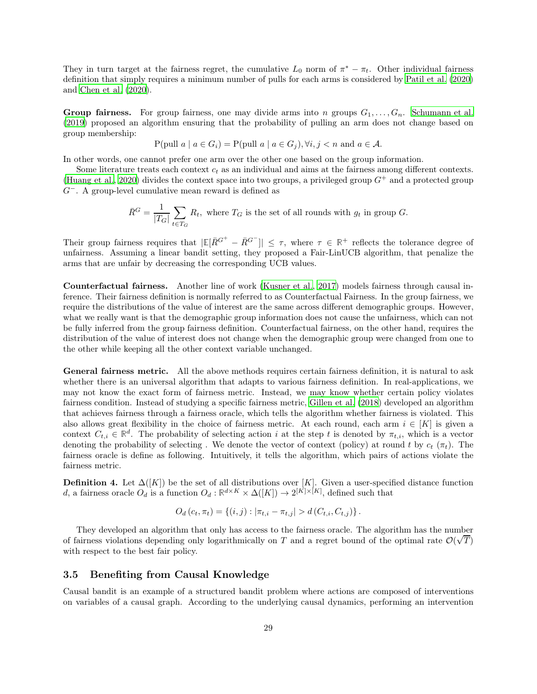They in turn target at the fairness regret, the cumulative  $L_0$  norm of  $\pi^* - \pi_t$ . Other individual fairness definition that simply requires a minimum number of pulls for each arms is considered by [Patil et al. \(2020](#page-36-11)) and [Chen et al. \(2020\)](#page-33-14).

**Group fairness.** For group fairness, one may divide arms into n groups  $G_1, \ldots, G_n$ . [Schumann et al.](#page-37-14) [\(2019\)](#page-37-14) proposed an algorithm ensuring that the probability of pulling an arm does not change based on group membership:

P(pull  $a \mid a \in G_i$ ) = P(pull  $a \mid a \in G_i$ ),  $\forall i, j \leq n$  and  $a \in \mathcal{A}$ .

In other words, one cannot prefer one arm over the other one based on the group information.

Some literature treats each context  $c_t$  as an individual and aims at the fairness among different contexts. [\(Huang et al., 2020\)](#page-34-16) divides the context space into two groups, a privileged group  $G^+$  and a protected group G<sup>−</sup>. A group-level cumulative mean reward is defined as

$$
\bar{R}^G = \frac{1}{|T_G|} \sum_{t \in T_G} R_t
$$
, where  $T_G$  is the set of all rounds with  $g_t$  in group  $G$ .

Their group fairness requires that  $|\mathbb{E}[\overline{R}^{G^+} - \overline{R}^{G^-}]| \leq \tau$ , where  $\tau \in \mathbb{R}^+$  reflects the tolerance degree of unfairness. Assuming a linear bandit setting, they proposed a Fair-LinUCB algorithm, that penalize the arms that are unfair by decreasing the corresponding UCB values.

Counterfactual fairness. Another line of work [\(Kusner et al., 2017\)](#page-35-15) models fairness through causal inference. Their fairness definition is normally referred to as Counterfactual Fairness. In the group fairness, we require the distributions of the value of interest are the same across different demographic groups. However, what we really want is that the demographic group information does not cause the unfairness, which can not be fully inferred from the group fairness definition. Counterfactual fairness, on the other hand, requires the distribution of the value of interest does not change when the demographic group were changed from one to the other while keeping all the other context variable unchanged.

General fairness metric. All the above methods requires certain fairness definition, it is natural to ask whether there is an universal algorithm that adapts to various fairness definition. In real-applications, we may not know the exact form of fairness metric. Instead, we may know whether certain policy violates fairness condition. Instead of studying a specific fairness metric, [Gillen et al. \(2018\)](#page-34-17) developed an algorithm that achieves fairness through a fairness oracle, which tells the algorithm whether fairness is violated. This also allows great flexibility in the choice of fairness metric. At each round, each arm  $i \in [K]$  is given a context  $C_{t,i} \in \mathbb{R}^d$ . The probability of selecting action i at the step t is denoted by  $\pi_{t,i}$ , which is a vector denoting the probability of selecting. We denote the vector of context (policy) at round t by  $c_t$  ( $\pi_t$ ). The fairness oracle is define as following. Intuitively, it tells the algorithm, which pairs of actions violate the fairness metric.

**Definition 4.** Let  $\Delta([K])$  be the set of all distributions over [K]. Given a user-specified distance function d, a fairness oracle  $O_d$  is a function  $O_d : \mathbb{R}^{d \times K} \times \Delta([K]) \to 2^{K \times [K]}$ , defined such that

$$
O_d(c_t, \pi_t) = \{(i, j) : |\pi_{t,i} - \pi_{t,j}| > d(C_{t,i}, C_{t,j})\}.
$$

They developed an algorithm that only has access to the fairness oracle. The algorithm has the number of fairness violations depending only logarithmically on T and a regret bound of the optimal rate  $\mathcal{O}(\sqrt{T})$ with respect to the best fair policy.

### 3.5 Benefiting from Causal Knowledge

Causal bandit is an example of a structured bandit problem where actions are composed of interventions on variables of a causal graph. According to the underlying causal dynamics, performing an intervention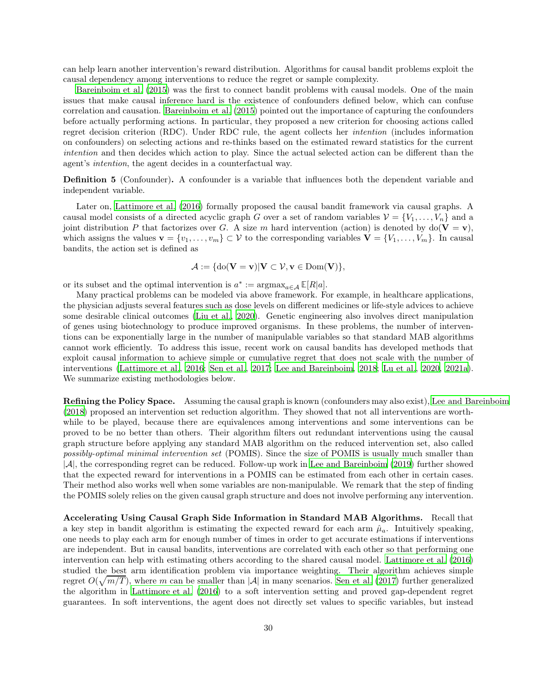can help learn another intervention's reward distribution. Algorithms for causal bandit problems exploit the causal dependency among interventions to reduce the regret or sample complexity.

[Bareinboim et al. \(2015\)](#page-32-17) was the first to connect bandit problems with causal models. One of the main issues that make causal inference hard is the existence of confounders defined below, which can confuse correlation and causation. [Bareinboim et al. \(2015\)](#page-32-17) pointed out the importance of capturing the confounders before actually performing actions. In particular, they proposed a new criterion for choosing actions called regret decision criterion (RDC). Under RDC rule, the agent collects her intention (includes information on confounders) on selecting actions and re-thinks based on the estimated reward statistics for the current intention and then decides which action to play. Since the actual selected action can be different than the agent's intention, the agent decides in a counterfactual way.

Definition 5 (Confounder). A confounder is a variable that influences both the dependent variable and independent variable.

Later on, [Lattimore et al. \(2016\)](#page-35-16) formally proposed the causal bandit framework via causal graphs. A causal model consists of a directed acyclic graph G over a set of random variables  $\mathcal{V} = \{V_1, \ldots, V_n\}$  and a joint distribution P that factorizes over G. A size m hard intervention (action) is denoted by  $do(V = v)$ , which assigns the values  $\mathbf{v} = \{v_1, \ldots, v_m\} \subset \mathcal{V}$  to the corresponding variables  $\mathbf{V} = \{V_1, \ldots, V_m\}$ . In causal bandits, the action set is defined as

$$
\mathcal{A}:=\{\mathrm{do}(V=v)|V\subset\mathcal{V},v\in\mathrm{Dom}(V)\},
$$

or its subset and the optimal intervention is  $a^* := \operatorname{argmax}_{a \in A} \mathbb{E}[R|a]$ .

Many practical problems can be modeled via above framework. For example, in healthcare applications, the physician adjusts several features such as dose levels on different medicines or life-style advices to achieve some desirable clinical outcomes [\(Liu et al.](#page-36-12), [2020](#page-36-12)). Genetic engineering also involves direct manipulation of genes using biotechnology to produce improved organisms. In these problems, the number of interventions can be exponentially large in the number of manipulable variables so that standard MAB algorithms cannot work efficiently. To address this issue, recent work on causal bandits has developed methods that exploit causal information to achieve simple or cumulative regret that does not scale with the number of interventions [\(Lattimore et al.](#page-35-16), [2016](#page-35-16); [Sen et al.](#page-37-15), [2017;](#page-37-15) Lee [and Bareinboim, 2018;](#page-35-17) [Lu et al.](#page-36-13), [2020](#page-36-13), [2021a\)](#page-36-14). We summarize existing methodologies below.

Refining the Policy Space. Assuming the causal graph is known (confounders may also exist), [Lee and Bareinboim](#page-35-17) [\(2018\)](#page-35-17) proposed an intervention set reduction algorithm. They showed that not all interventions are worthwhile to be played, because there are equivalences among interventions and some interventions can be proved to be no better than others. Their algorithm filters out redundant interventions using the causal graph structure before applying any standard MAB algorithm on the reduced intervention set, also called possibly-optimal minimal intervention set (POMIS). Since the size of POMIS is usually much smaller than |A|, the corresponding regret can be reduced. Follow-up work in [Lee and Bareinboim \(2019\)](#page-35-18) further showed that the expected reward for interventions in a POMIS can be estimated from each other in certain cases. Their method also works well when some variables are non-manipulable. We remark that the step of finding the POMIS solely relies on the given causal graph structure and does not involve performing any intervention.

Accelerating Using Causal Graph Side Information in Standard MAB Algorithms. Recall that a key step in bandit algorithm is estimating the expected reward for each arm  $\hat{\mu}_a$ . Intuitively speaking, one needs to play each arm for enough number of times in order to get accurate estimations if interventions are independent. But in causal bandits, interventions are correlated with each other so that performing one intervention can help with estimating others according to the shared causal model. [Lattimore et al. \(2016](#page-35-16)) studied the best arm identification problem via importance weighting. Their algorithm achieves simple regret  $O(\sqrt{m/T})$ , where m can be smaller than |A| in many scenarios. [Sen et al.](#page-37-15) [\(2017\)](#page-37-15) further generalized the algorithm in [Lattimore et al. \(2016\)](#page-35-16) to a soft intervention setting and proved gap-dependent regret guarantees. In soft interventions, the agent does not directly set values to specific variables, but instead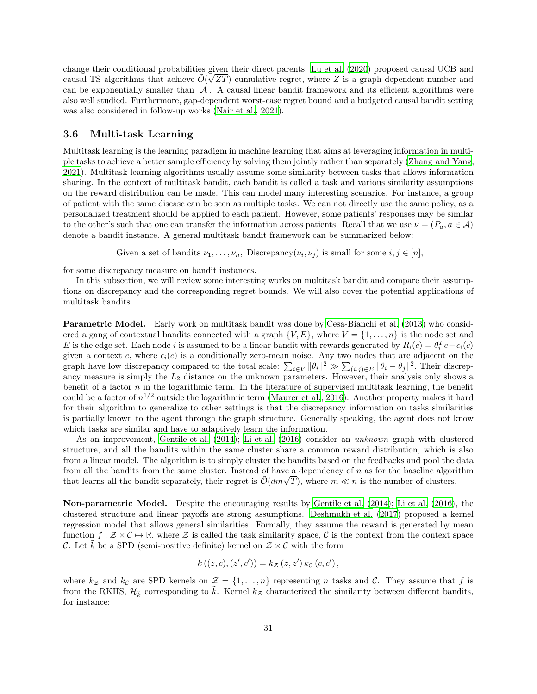change their conditional probabilities given their direct parents. [Lu et al. \(2020](#page-36-13)) proposed causal UCB and causal TS algorithms that achieve  $\tilde{O}(\sqrt{ZT})$  cumulative regret, where Z is a graph dependent number and can be exponentially smaller than  $|\mathcal{A}|$ . A causal linear bandit framework and its efficient algorithms were also well studied. Furthermore, gap-dependent worst-case regret bound and a budgeted causal bandit setting was also considered in follow-up works [\(Nair et al.](#page-36-15), [2021\)](#page-36-15).

## 3.6 Multi-task Learning

Multitask learning is the learning paradigm in machine learning that aims at leveraging information in multiple tasks to achieve a better sample efficiency by solving them jointly rather than separately [\(Zhang and Yang](#page-38-15), [2021\)](#page-38-15). Multitask learning algorithms usually assume some similarity between tasks that allows information sharing. In the context of multitask bandit, each bandit is called a task and various similarity assumptions on the reward distribution can be made. This can model many interesting scenarios. For instance, a group of patient with the same disease can be seen as multiple tasks. We can not directly use the same policy, as a personalized treatment should be applied to each patient. However, some patients' responses may be similar to the other's such that one can transfer the information across patients. Recall that we use  $\nu = (P_a, a \in \mathcal{A})$ denote a bandit instance. A general multitask bandit framework can be summarized below:

Given a set of bandits  $\nu_1, \ldots, \nu_n$ , Discrepancy $(\nu_i, \nu_j)$  is small for some  $i, j \in [n]$ ,

for some discrepancy measure on bandit instances.

In this subsection, we will review some interesting works on multitask bandit and compare their assumptions on discrepancy and the corresponding regret bounds. We will also cover the potential applications of multitask bandits.

Parametric Model. Early work on multitask bandit was done by [Cesa-Bianchi et al. \(2013\)](#page-33-15) who considered a gang of contextual bandits connected with a graph  $\{V, E\}$ , where  $V = \{1, \ldots, n\}$  is the node set and E is the edge set. Each node i is assumed to be a linear bandit with rewards generated by  $R_i(c) = \theta_i^T c + \epsilon_i(c)$ given a context c, where  $\epsilon_i(c)$  is a conditionally zero-mean noise. Any two nodes that are adjacent on the graph have low discrepancy compared to the total scale:  $\sum_{i\in V} ||\theta_i||^2 \gg \sum_{(i,j)\in E} ||\theta_i - \theta_j||^2$ . Their discrepancy measure is simply the  $L_2$  distance on the unknown parameters. However, their analysis only shows a benefit of a factor  $n$  in the logarithmic term. In the literature of supervised multitask learning, the benefit could be a factor of  $n^{1/2}$  outside the logarithmic term [\(Maurer et al.](#page-36-16), [2016\)](#page-36-16). Another property makes it hard for their algorithm to generalize to other settings is that the discrepancy information on tasks similarities is partially known to the agent through the graph structure. Generally speaking, the agent does not know which tasks are similar and have to adaptively learn the information.

As an improvement, [Gentile et al. \(2014](#page-34-18)); [Li et al. \(2016\)](#page-36-17) consider an unknown graph with clustered structure, and all the bandits within the same cluster share a common reward distribution, which is also from a linear model. The algorithm is to simply cluster the bandits based on the feedbacks and pool the data from all the bandits from the same cluster. Instead of have a dependency of  $n$  as for the baseline algorithm that learns all the bandit separately, their regret is  $\tilde{O}(dm\sqrt{T})$ , where  $m \ll n$  is the number of clusters.

Non-parametric Model. Despite the encouraging results by [Gentile et al. \(2014\)](#page-34-18); Li [et al. \(2016\)](#page-36-17), the clustered structure and linear payoffs are strong assumptions. [Deshmukh et al. \(2017](#page-33-16)) proposed a kernel regression model that allows general similarities. Formally, they assume the reward is generated by mean function  $f : \mathcal{Z} \times \mathcal{C} \to \mathbb{R}$ , where  $\mathcal{Z}$  is called the task similarity space,  $\mathcal{C}$  is the context from the context space C. Let k be a SPD (semi-positive definite) kernel on  $Z \times C$  with the form

$$
\tilde{k} ((z, c), (z', c')) = k_{\mathcal{Z}} (z, z') k_{\mathcal{C}} (c, c'),
$$

where  $k_z$  and  $k_z$  are SPD kernels on  $\mathcal{Z} = \{1, \ldots, n\}$  representing n tasks and C. They assume that f is from the RKHS,  $\mathcal{H}_{\tilde{k}}$  corresponding to k. Kernel  $k_z$  characterized the similarity between different bandits, for instance: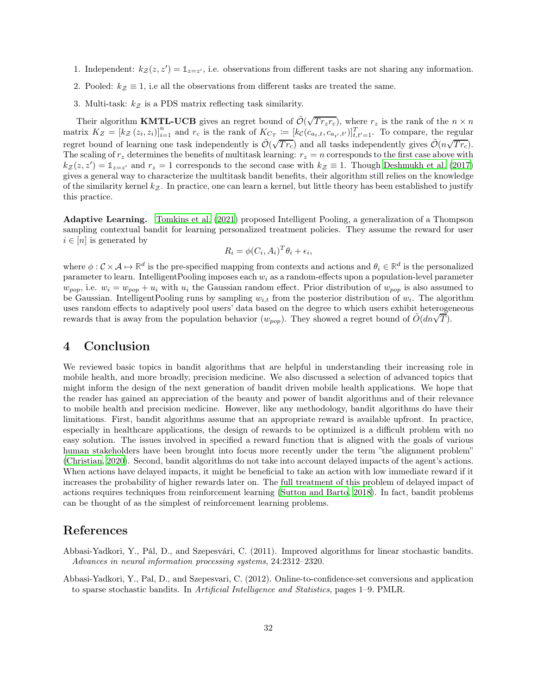- 1. Independent:  $k_z(z, z') = \mathbb{1}_{z=z'}$ , i.e. observations from different tasks are not sharing any information.
- 2. Pooled:  $k_z \equiv 1$ , i.e all the observations from different tasks are treated the same.
- 3. Multi-task:  $k_z$  is a PDS matrix reflecting task similarity.

Their algorithm **KMTL-UCB** gives an regret bound of  $\tilde{\mathcal{O}}(\sqrt{Tr_zr_c})$ , where  $r_z$  is the rank of the  $n \times n$ matrix  $K_Z = [k_Z(z_i, z_i)]_{i=1}^n$  and  $r_c$  is the rank of  $K_{C_T} := [k_C(c_{a_t,t}, c_{a_{t'},t'})]_{t,t'=1}^T$ . To compare, the regular regret bound of learning one task independently is  $\tilde{\mathcal{O}}(\sqrt{Tr_c})$  and all tasks independently gives  $\tilde{\mathcal{O}}(n\sqrt{Tr_c})$ . The scaling of  $r_z$  determines the benefits of multitask learning:  $r_z = n$  corresponds to the first case above with  $k_Z(z, z') = \mathbb{1}_{z=z'}$  and  $r_z = 1$  corresponds to the second case with  $k_Z \equiv 1$ . Though [Deshmukh et al. \(2017](#page-33-16)) gives a general way to characterize the multitask bandit benefits, their algorithm still relies on the knowledge of the similarity kernel  $k_z$ . In practice, one can learn a kernel, but little theory has been established to justify this practice.

Adaptive Learning. [Tomkins et al. \(2021\)](#page-37-6) proposed Intelligent Pooling, a generalization of a Thompson sampling contextual bandit for learning personalized treatment policies. They assume the reward for user  $i \in [n]$  is generated by

$$
R_i = \phi(C_i, A_i)^T \theta_i + \epsilon_i,
$$

where  $\phi: \mathcal{C} \times \mathcal{A} \mapsto \mathbb{R}^d$  is the pre-specified mapping from contexts and actions and  $\theta_i \in \mathbb{R}^d$  is the personalized parameter to learn. IntelligentPooling imposes each  $w_i$  as a random-effects upon a population-level parameter  $w_{pop}$ , i.e.  $w_i = w_{pop} + u_i$  with  $u_i$  the Gaussian random effect. Prior distribution of  $w_{pop}$  is also assumed to be Gaussian. Intelligent Pooling runs by sampling  $w_{i,t}$  from the posterior distribution of  $w_i$ . The algorithm uses random effects to adaptively pool users' data based on the degree to which users exhibit heterogeneous rewards that is away from the population behavior  $(w_{pop})$ . They showed a regret bound of  $\tilde{O}(dn\sqrt{T})$ .

# 4 Conclusion

We reviewed basic topics in bandit algorithms that are helpful in understanding their increasing role in mobile health, and more broadly, precision medicine. We also discussed a selection of advanced topics that might inform the design of the next generation of bandit driven mobile health applications. We hope that the reader has gained an appreciation of the beauty and power of bandit algorithms and of their relevance to mobile health and precision medicine. However, like any methodology, bandit algorithms do have their limitations. First, bandit algorithms assume that an appropriate reward is available upfront. In practice, especially in healthcare applications, the design of rewards to be optimized is a difficult problem with no easy solution. The issues involved in specified a reward function that is aligned with the goals of various human stakeholders have been brought into focus more recently under the term "the alignment problem" [\(Christian](#page-33-17), [2020\)](#page-33-17). Second, bandit algorithms do not take into account delayed impacts of the agent's actions. When actions have delayed impacts, it might be beneficial to take an action with low immediate reward if it increases the probability of higher rewards later on. The full treatment of this problem of delayed impact of actions requires techniques from reinforcement learning [\(Sutton and Barto](#page-37-16), [2018](#page-37-16)). In fact, bandit problems can be thought of as the simplest of reinforcement learning problems.

## References

- <span id="page-31-0"></span>Abbasi-Yadkori, Y., Pál, D., and Szepesvári, C. (2011). Improved algorithms for linear stochastic bandits. Advances in neural information processing systems, 24:2312–2320.
- <span id="page-31-1"></span>Abbasi-Yadkori, Y., Pal, D., and Szepesvari, C. (2012). Online-to-confidence-set conversions and application to sparse stochastic bandits. In Artificial Intelligence and Statistics, pages 1–9. PMLR.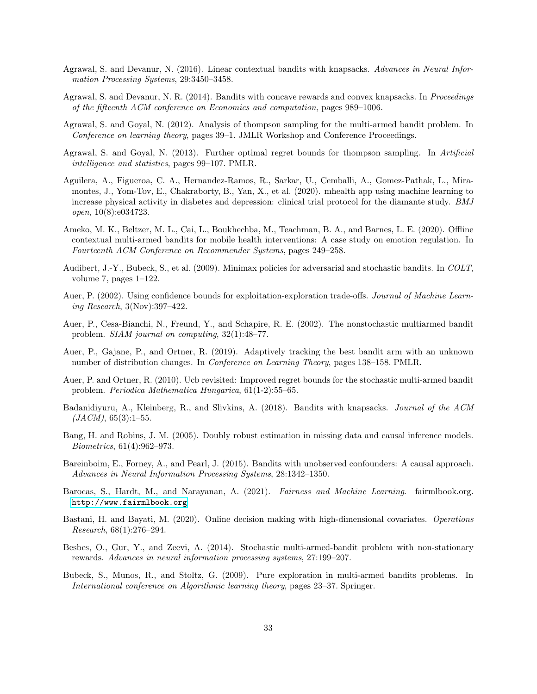- <span id="page-32-15"></span>Agrawal, S. and Devanur, N. (2016). Linear contextual bandits with knapsacks. Advances in Neural Information Processing Systems, 29:3450–3458.
- <span id="page-32-14"></span>Agrawal, S. and Devanur, N. R. (2014). Bandits with concave rewards and convex knapsacks. In Proceedings of the fifteenth ACM conference on Economics and computation, pages 989–1006.
- <span id="page-32-5"></span>Agrawal, S. and Goyal, N. (2012). Analysis of thompson sampling for the multi-armed bandit problem. In Conference on learning theory, pages 39–1. JMLR Workshop and Conference Proceedings.
- <span id="page-32-6"></span>Agrawal, S. and Goyal, N. (2013). Further optimal regret bounds for thompson sampling. In Artificial intelligence and statistics, pages 99–107. PMLR.
- <span id="page-32-1"></span>Aguilera, A., Figueroa, C. A., Hernandez-Ramos, R., Sarkar, U., Cemballi, A., Gomez-Pathak, L., Miramontes, J., Yom-Tov, E., Chakraborty, B., Yan, X., et al. (2020). mhealth app using machine learning to increase physical activity in diabetes and depression: clinical trial protocol for the diamante study. BMJ open, 10(8):e034723.
- <span id="page-32-0"></span>Ameko, M. K., Beltzer, M. L., Cai, L., Boukhechba, M., Teachman, B. A., and Barnes, L. E. (2020). Offline contextual multi-armed bandits for mobile health interventions: A case study on emotion regulation. In Fourteenth ACM Conference on Recommender Systems, pages 249–258.
- <span id="page-32-3"></span>Audibert, J.-Y., Bubeck, S., et al. (2009). Minimax policies for adversarial and stochastic bandits. In COLT, volume 7, pages 1–122.
- <span id="page-32-7"></span>Auer, P. (2002). Using confidence bounds for exploitation-exploration trade-offs. Journal of Machine Learning Research, 3(Nov):397–422.
- <span id="page-32-10"></span>Auer, P., Cesa-Bianchi, N., Freund, Y., and Schapire, R. E. (2002). The nonstochastic multiarmed bandit problem. SIAM journal on computing, 32(1):48–77.
- <span id="page-32-11"></span>Auer, P., Gajane, P., and Ortner, R. (2019). Adaptively tracking the best bandit arm with an unknown number of distribution changes. In *Conference on Learning Theory*, pages 138–158. PMLR.
- <span id="page-32-4"></span>Auer, P. and Ortner, R. (2010). Ucb revisited: Improved regret bounds for the stochastic multi-armed bandit problem. Periodica Mathematica Hungarica, 61(1-2):55–65.
- <span id="page-32-13"></span>Badanidiyuru, A., Kleinberg, R., and Slivkins, A. (2018). Bandits with knapsacks. Journal of the ACM  $(JACM)$ , 65(3):1–55.
- <span id="page-32-9"></span>Bang, H. and Robins, J. M. (2005). Doubly robust estimation in missing data and causal inference models. Biometrics, 61(4):962–973.
- <span id="page-32-17"></span>Bareinboim, E., Forney, A., and Pearl, J. (2015). Bandits with unobserved confounders: A causal approach. Advances in Neural Information Processing Systems, 28:1342–1350.
- <span id="page-32-16"></span>Barocas, S., Hardt, M., and Narayanan, A. (2021). Fairness and Machine Learning. fairmlbook.org. <http://www.fairmlbook.org>.
- <span id="page-32-8"></span>Bastani, H. and Bayati, M. (2020). Online decision making with high-dimensional covariates. Operations Research, 68(1):276–294.
- <span id="page-32-12"></span>Besbes, O., Gur, Y., and Zeevi, A. (2014). Stochastic multi-armed-bandit problem with non-stationary rewards. Advances in neural information processing systems, 27:199–207.
- <span id="page-32-2"></span>Bubeck, S., Munos, R., and Stoltz, G. (2009). Pure exploration in multi-armed bandits problems. In International conference on Algorithmic learning theory, pages 23–37. Springer.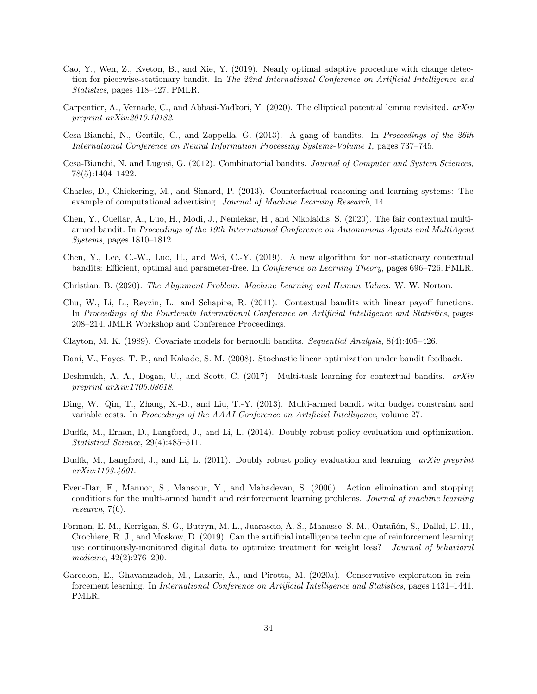- <span id="page-33-10"></span>Cao, Y., Wen, Z., Kveton, B., and Xie, Y. (2019). Nearly optimal adaptive procedure with change detection for piecewise-stationary bandit. In The 22nd International Conference on Artificial Intelligence and Statistics, pages 418–427. PMLR.
- <span id="page-33-5"></span>Carpentier, A., Vernade, C., and Abbasi-Yadkori, Y. (2020). The elliptical potential lemma revisited.  $arXiv$ preprint arXiv:2010.10182.
- <span id="page-33-15"></span>Cesa-Bianchi, N., Gentile, C., and Zappella, G. (2013). A gang of bandits. In Proceedings of the 26th International Conference on Neural Information Processing Systems-Volume 1, pages 737–745.
- <span id="page-33-1"></span>Cesa-Bianchi, N. and Lugosi, G. (2012). Combinatorial bandits. Journal of Computer and System Sciences, 78(5):1404–1422.
- <span id="page-33-7"></span>Charles, D., Chickering, M., and Simard, P. (2013). Counterfactual reasoning and learning systems: The example of computational advertising. Journal of Machine Learning Research, 14.
- <span id="page-33-14"></span>Chen, Y., Cuellar, A., Luo, H., Modi, J., Nemlekar, H., and Nikolaidis, S. (2020). The fair contextual multiarmed bandit. In Proceedings of the 19th International Conference on Autonomous Agents and MultiAgent Systems, pages 1810–1812.
- <span id="page-33-11"></span>Chen, Y., Lee, C.-W., Luo, H., and Wei, C.-Y. (2019). A new algorithm for non-stationary contextual bandits: Efficient, optimal and parameter-free. In Conference on Learning Theory, pages 696–726. PMLR.
- <span id="page-33-17"></span>Christian, B. (2020). The Alignment Problem: Machine Learning and Human Values. W. W. Norton.
- <span id="page-33-6"></span>Chu, W., Li, L., Reyzin, L., and Schapire, R. (2011). Contextual bandits with linear payoff functions. In Proceedings of the Fourteenth International Conference on Artificial Intelligence and Statistics, pages 208–214. JMLR Workshop and Conference Proceedings.
- <span id="page-33-3"></span>Clayton, M. K. (1989). Covariate models for bernoulli bandits. Sequential Analysis, 8(4):405–426.
- <span id="page-33-4"></span>Dani, V., Hayes, T. P., and Kakade, S. M. (2008). Stochastic linear optimization under bandit feedback.
- <span id="page-33-16"></span>Deshmukh, A. A., Dogan, U., and Scott, C. (2017). Multi-task learning for contextual bandits.  $arXiv$ preprint arXiv:1705.08618.
- <span id="page-33-12"></span>Ding, W., Qin, T., Zhang, X.-D., and Liu, T.-Y. (2013). Multi-armed bandit with budget constraint and variable costs. In *Proceedings of the AAAI Conference on Artificial Intelligence*, volume 27.
- <span id="page-33-8"></span>Dudík, M., Erhan, D., Langford, J., and Li, L. (2014). Doubly robust policy evaluation and optimization. Statistical Science, 29(4):485–511.
- <span id="page-33-9"></span>Dudík, M., Langford, J., and Li, L. (2011). Doubly robust policy evaluation and learning. *arXiv preprint* arXiv:1103.4601.
- <span id="page-33-2"></span>Even-Dar, E., Mannor, S., Mansour, Y., and Mahadevan, S. (2006). Action elimination and stopping conditions for the multi-armed bandit and reinforcement learning problems. Journal of machine learning research, 7(6).
- <span id="page-33-0"></span>Forman, E. M., Kerrigan, S. G., Butryn, M. L., Juarascio, A. S., Manasse, S. M., Ontañón, S., Dallal, D. H., Crochiere, R. J., and Moskow, D. (2019). Can the artificial intelligence technique of reinforcement learning use continuously-monitored digital data to optimize treatment for weight loss? Journal of behavioral medicine, 42(2):276–290.
- <span id="page-33-13"></span>Garcelon, E., Ghavamzadeh, M., Lazaric, A., and Pirotta, M. (2020a). Conservative exploration in reinforcement learning. In International Conference on Artificial Intelligence and Statistics, pages 1431–1441. PMLR.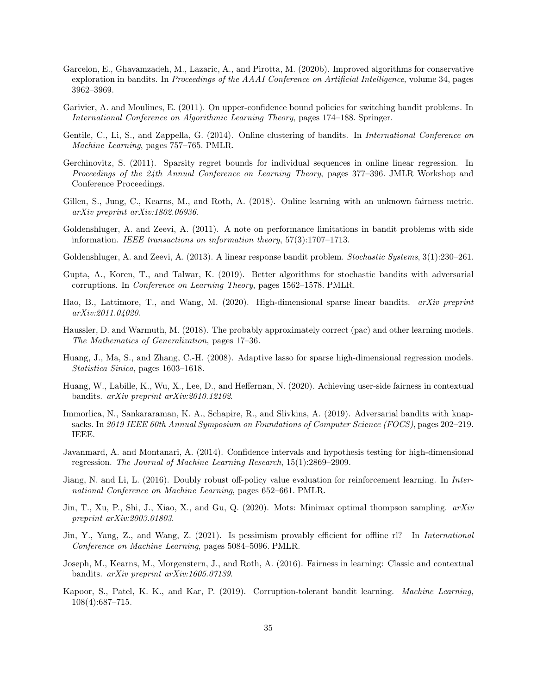- <span id="page-34-14"></span>Garcelon, E., Ghavamzadeh, M., Lazaric, A., and Pirotta, M. (2020b). Improved algorithms for conservative exploration in bandits. In Proceedings of the AAAI Conference on Artificial Intelligence, volume 34, pages 3962–3969.
- <span id="page-34-10"></span>Garivier, A. and Moulines, E. (2011). On upper-confidence bound policies for switching bandit problems. In International Conference on Algorithmic Learning Theory, pages 174–188. Springer.
- <span id="page-34-18"></span>Gentile, C., Li, S., and Zappella, G. (2014). Online clustering of bandits. In *International Conference on* Machine Learning, pages 757–765. PMLR.
- <span id="page-34-7"></span>Gerchinovitz, S. (2011). Sparsity regret bounds for individual sequences in online linear regression. In Proceedings of the 24th Annual Conference on Learning Theory, pages 377–396. JMLR Workshop and Conference Proceedings.
- <span id="page-34-17"></span>Gillen, S., Jung, C., Kearns, M., and Roth, A. (2018). Online learning with an unknown fairness metric. arXiv preprint arXiv:1802.06936.
- <span id="page-34-3"></span>Goldenshluger, A. and Zeevi, A. (2011). A note on performance limitations in bandit problems with side information. IEEE transactions on information theory, 57(3):1707–1713.
- <span id="page-34-4"></span>Goldenshluger, A. and Zeevi, A. (2013). A linear response bandit problem. *Stochastic Systems*, 3(1):230–261.
- <span id="page-34-12"></span>Gupta, A., Koren, T., and Talwar, K. (2019). Better algorithms for stochastic bandits with adversarial corruptions. In Conference on Learning Theory, pages 1562–1578. PMLR.
- <span id="page-34-8"></span>Hao, B., Lattimore, T., and Wang, M. (2020). High-dimensional sparse linear bandits. arXiv preprint arXiv:2011.04020.
- <span id="page-34-1"></span>Haussler, D. and Warmuth, M. (2018). The probably approximately correct (pac) and other learning models. The Mathematics of Generalization, pages 17–36.
- <span id="page-34-5"></span>Huang, J., Ma, S., and Zhang, C.-H. (2008). Adaptive lasso for sparse high-dimensional regression models. Statistica Sinica, pages 1603–1618.
- <span id="page-34-16"></span>Huang, W., Labille, K., Wu, X., Lee, D., and Heffernan, N. (2020). Achieving user-side fairness in contextual bandits. arXiv preprint arXiv:2010.12102.
- <span id="page-34-13"></span>Immorlica, N., Sankararaman, K. A., Schapire, R., and Slivkins, A. (2019). Adversarial bandits with knapsacks. In 2019 IEEE 60th Annual Symposium on Foundations of Computer Science (FOCS), pages 202–219. IEEE.
- <span id="page-34-6"></span>Javanmard, A. and Montanari, A. (2014). Confidence intervals and hypothesis testing for high-dimensional regression. The Journal of Machine Learning Research, 15(1):2869–2909.
- <span id="page-34-9"></span>Jiang, N. and Li, L. (2016). Doubly robust off-policy value evaluation for reinforcement learning. In *Inter*national Conference on Machine Learning, pages 652–661. PMLR.
- <span id="page-34-2"></span>Jin, T., Xu, P., Shi, J., Xiao, X., and Gu, Q. (2020). Mots: Minimax optimal thompson sampling.  $arXiv$ preprint arXiv:2003.01803.
- <span id="page-34-0"></span>Jin, Y., Yang, Z., and Wang, Z. (2021). Is pessimism provably efficient for offline rl? In International Conference on Machine Learning, pages 5084–5096. PMLR.
- <span id="page-34-15"></span>Joseph, M., Kearns, M., Morgenstern, J., and Roth, A. (2016). Fairness in learning: Classic and contextual bandits. arXiv preprint arXiv:1605.07139.
- <span id="page-34-11"></span>Kapoor, S., Patel, K. K., and Kar, P. (2019). Corruption-tolerant bandit learning. Machine Learning, 108(4):687–715.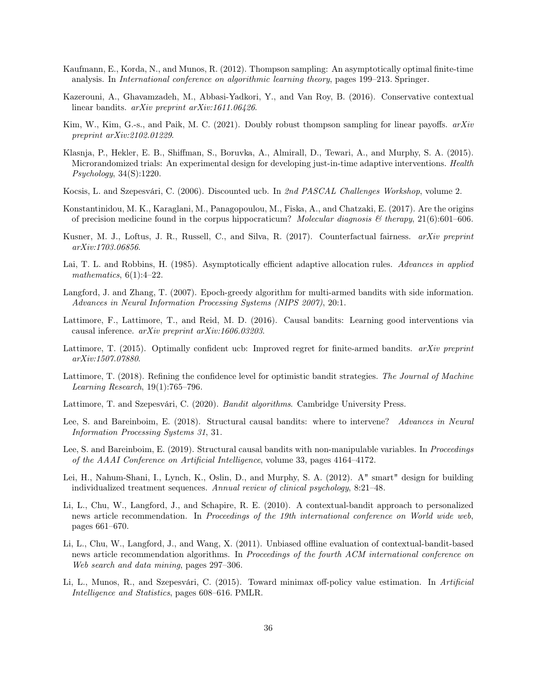- <span id="page-35-6"></span>Kaufmann, E., Korda, N., and Munos, R. (2012). Thompson sampling: An asymptotically optimal finite-time analysis. In International conference on algorithmic learning theory, pages 199–213. Springer.
- <span id="page-35-14"></span>Kazerouni, A., Ghavamzadeh, M., Abbasi-Yadkori, Y., and Van Roy, B. (2016). Conservative contextual linear bandits. arXiv preprint arXiv:1611.06426.
- <span id="page-35-12"></span>Kim, W., Kim, G.-s., and Paik, M. C. (2021). Doubly robust thompson sampling for linear payoffs.  $arXiv$ preprint arXiv:2102.01229.
- <span id="page-35-3"></span>Klasnja, P., Hekler, E. B., Shiffman, S., Boruvka, A., Almirall, D., Tewari, A., and Murphy, S. A. (2015). Microrandomized trials: An experimental design for developing just-in-time adaptive interventions. Health Psychology, 34(S):1220.
- <span id="page-35-13"></span>Kocsis, L. and Szepesvári, C. (2006). Discounted ucb. In 2nd PASCAL Challenges Workshop, volume 2.
- <span id="page-35-0"></span>Konstantinidou, M. K., Karaglani, M., Panagopoulou, M., Fiska, A., and Chatzaki, E. (2017). Are the origins of precision medicine found in the corpus hippocraticum? Molecular diagnosis  $\mathcal{B}$  therapy, 21(6):601–606.
- <span id="page-35-15"></span>Kusner, M. J., Loftus, J. R., Russell, C., and Silva, R. (2017). Counterfactual fairness. arXiv preprint arXiv:1703.06856.
- <span id="page-35-7"></span>Lai, T. L. and Robbins, H. (1985). Asymptotically efficient adaptive allocation rules. Advances in applied mathematics,  $6(1):4-22$ .
- <span id="page-35-8"></span>Langford, J. and Zhang, T. (2007). Epoch-greedy algorithm for multi-armed bandits with side information. Advances in Neural Information Processing Systems (NIPS 2007), 20:1.
- <span id="page-35-16"></span>Lattimore, F., Lattimore, T., and Reid, M. D. (2016). Causal bandits: Learning good interventions via causal inference. arXiv preprint arXiv:1606.03203.
- <span id="page-35-4"></span>Lattimore, T. (2015). Optimally confident ucb: Improved regret for finite-armed bandits. *arXiv preprint* arXiv:1507.07880.
- <span id="page-35-5"></span>Lattimore, T. (2018). Refining the confidence level for optimistic bandit strategies. The Journal of Machine Learning Research, 19(1):765–796.
- <span id="page-35-1"></span>Lattimore, T. and Szepesvári, C. (2020). Bandit algorithms. Cambridge University Press.
- <span id="page-35-17"></span>Lee, S. and Bareinboim, E. (2018). Structural causal bandits: where to intervene? Advances in Neural Information Processing Systems 31, 31.
- <span id="page-35-18"></span>Lee, S. and Bareinboim, E. (2019). Structural causal bandits with non-manipulable variables. In *Proceedings* of the AAAI Conference on Artificial Intelligence, volume 33, pages 4164–4172.
- <span id="page-35-2"></span>Lei, H., Nahum-Shani, I., Lynch, K., Oslin, D., and Murphy, S. A. (2012). A" smart" design for building individualized treatment sequences. Annual review of clinical psychology, 8:21–48.
- <span id="page-35-9"></span>Li, L., Chu, W., Langford, J., and Schapire, R. E. (2010). A contextual-bandit approach to personalized news article recommendation. In Proceedings of the 19th international conference on World wide web, pages 661–670.
- <span id="page-35-10"></span>Li, L., Chu, W., Langford, J., and Wang, X. (2011). Unbiased offline evaluation of contextual-bandit-based news article recommendation algorithms. In Proceedings of the fourth ACM international conference on Web search and data mining, pages 297–306.
- <span id="page-35-11"></span>Li, L., Munos, R., and Szepesvári, C. (2015). Toward minimax off-policy value estimation. In Artificial Intelligence and Statistics, pages 608–616. PMLR.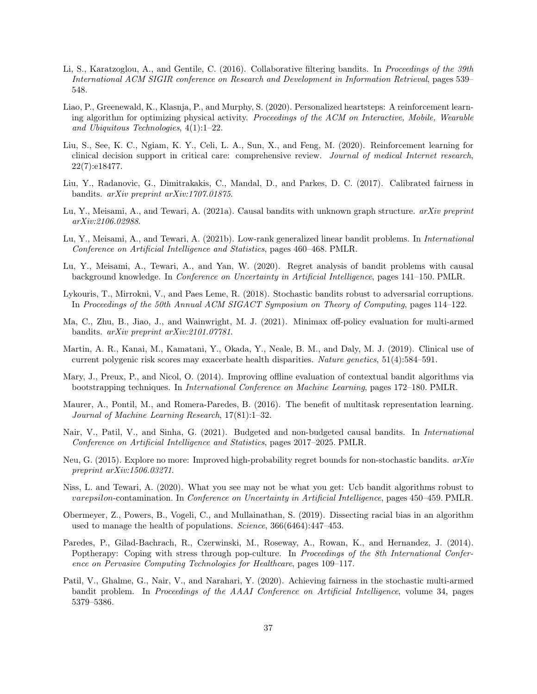- <span id="page-36-17"></span>Li, S., Karatzoglou, A., and Gentile, C. (2016). Collaborative filtering bandits. In Proceedings of the 39th International ACM SIGIR conference on Research and Development in Information Retrieval, pages 539– 548.
- <span id="page-36-1"></span>Liao, P., Greenewald, K., Klasnja, P., and Murphy, S. (2020). Personalized heartsteps: A reinforcement learning algorithm for optimizing physical activity. Proceedings of the ACM on Interactive, Mobile, Wearable and Ubiquitous Technologies, 4(1):1–22.
- <span id="page-36-12"></span>Liu, S., See, K. C., Ngiam, K. Y., Celi, L. A., Sun, X., and Feng, M. (2020). Reinforcement learning for clinical decision support in critical care: comprehensive review. Journal of medical Internet research, 22(7):e18477.
- <span id="page-36-10"></span>Liu, Y., Radanovic, G., Dimitrakakis, C., Mandal, D., and Parkes, D. C. (2017). Calibrated fairness in bandits. arXiv preprint arXiv:1707.01875.
- <span id="page-36-14"></span>Lu, Y., Meisami, A., and Tewari, A. (2021a). Causal bandits with unknown graph structure. arXiv preprint arXiv:2106.02988.
- <span id="page-36-2"></span>Lu, Y., Meisami, A., and Tewari, A. (2021b). Low-rank generalized linear bandit problems. In International Conference on Artificial Intelligence and Statistics, pages 460–468. PMLR.
- <span id="page-36-13"></span>Lu, Y., Meisami, A., Tewari, A., and Yan, W. (2020). Regret analysis of bandit problems with causal background knowledge. In Conference on Uncertainty in Artificial Intelligence, pages 141–150. PMLR.
- <span id="page-36-7"></span>Lykouris, T., Mirrokni, V., and Paes Leme, R. (2018). Stochastic bandits robust to adversarial corruptions. In Proceedings of the 50th Annual ACM SIGACT Symposium on Theory of Computing, pages 114–122.
- <span id="page-36-5"></span>Ma, C., Zhu, B., Jiao, J., and Wainwright, M. J. (2021). Minimax off-policy evaluation for multi-armed bandits. arXiv preprint arXiv:2101.07781.
- <span id="page-36-9"></span>Martin, A. R., Kanai, M., Kamatani, Y., Okada, Y., Neale, B. M., and Daly, M. J. (2019). Clinical use of current polygenic risk scores may exacerbate health disparities. Nature genetics, 51(4):584–591.
- <span id="page-36-4"></span>Mary, J., Preux, P., and Nicol, O. (2014). Improving offline evaluation of contextual bandit algorithms via bootstrapping techniques. In International Conference on Machine Learning, pages 172–180. PMLR.
- <span id="page-36-16"></span>Maurer, A., Pontil, M., and Romera-Paredes, B. (2016). The benefit of multitask representation learning. Journal of Machine Learning Research, 17(81):1–32.
- <span id="page-36-15"></span>Nair, V., Patil, V., and Sinha, G. (2021). Budgeted and non-budgeted causal bandits. In International Conference on Artificial Intelligence and Statistics, pages 2017–2025. PMLR.
- <span id="page-36-3"></span>Neu, G. (2015). Explore no more: Improved high-probability regret bounds for non-stochastic bandits.  $arXiv$ preprint arXiv:1506.03271.
- <span id="page-36-6"></span>Niss, L. and Tewari, A. (2020). What you see may not be what you get: Ucb bandit algorithms robust to varepsilon-contamination. In Conference on Uncertainty in Artificial Intelligence, pages 450–459. PMLR.
- <span id="page-36-8"></span>Obermeyer, Z., Powers, B., Vogeli, C., and Mullainathan, S. (2019). Dissecting racial bias in an algorithm used to manage the health of populations. Science, 366(6464):447–453.
- <span id="page-36-0"></span>Paredes, P., Gilad-Bachrach, R., Czerwinski, M., Roseway, A., Rowan, K., and Hernandez, J. (2014). Poptherapy: Coping with stress through pop-culture. In Proceedings of the 8th International Conference on Pervasive Computing Technologies for Healthcare, pages 109–117.
- <span id="page-36-11"></span>Patil, V., Ghalme, G., Nair, V., and Narahari, Y. (2020). Achieving fairness in the stochastic multi-armed bandit problem. In Proceedings of the AAAI Conference on Artificial Intelligence, volume 34, pages 5379–5386.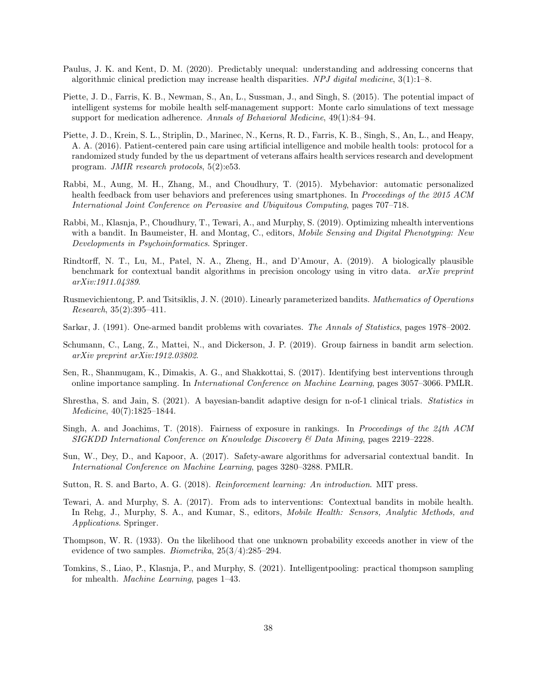- <span id="page-37-12"></span>Paulus, J. K. and Kent, D. M. (2020). Predictably unequal: understanding and addressing concerns that algorithmic clinical prediction may increase health disparities. NPJ digital medicine, 3(1):1–8.
- <span id="page-37-2"></span>Piette, J. D., Farris, K. B., Newman, S., An, L., Sussman, J., and Singh, S. (2015). The potential impact of intelligent systems for mobile health self-management support: Monte carlo simulations of text message support for medication adherence. Annals of Behavioral Medicine, 49(1):84–94.
- <span id="page-37-4"></span>Piette, J. D., Krein, S. L., Striplin, D., Marinec, N., Kerns, R. D., Farris, K. B., Singh, S., An, L., and Heapy, A. A. (2016). Patient-centered pain care using artificial intelligence and mobile health tools: protocol for a randomized study funded by the us department of veterans affairs health services research and development program. JMIR research protocols, 5(2):e53.
- <span id="page-37-3"></span>Rabbi, M., Aung, M. H., Zhang, M., and Choudhury, T. (2015). Mybehavior: automatic personalized health feedback from user behaviors and preferences using smartphones. In *Proceedings of the 2015 ACM* International Joint Conference on Pervasive and Ubiquitous Computing, pages 707–718.
- <span id="page-37-1"></span>Rabbi, M., Klasnja, P., Choudhury, T., Tewari, A., and Murphy, S. (2019). Optimizing mhealth interventions with a bandit. In Baumeister, H. and Montag, C., editors, *Mobile Sensing and Digital Phenotyping:* New Developments in Psychoinformatics. Springer.
- <span id="page-37-5"></span>Rindtorff, N. T., Lu, M., Patel, N. A., Zheng, H., and D'Amour, A. (2019). A biologically plausible benchmark for contextual bandit algorithms in precision oncology using in vitro data. arXiv preprint arXiv:1911.04389.
- <span id="page-37-10"></span>Rusmevichientong, P. and Tsitsiklis, J. N. (2010). Linearly parameterized bandits. Mathematics of Operations Research, 35(2):395–411.
- <span id="page-37-8"></span>Sarkar, J. (1991). One-armed bandit problems with covariates. The Annals of Statistics, pages 1978–2002.
- <span id="page-37-14"></span>Schumann, C., Lang, Z., Mattei, N., and Dickerson, J. P. (2019). Group fairness in bandit arm selection. arXiv preprint arXiv:1912.03802.
- <span id="page-37-15"></span>Sen, R., Shanmugam, K., Dimakis, A. G., and Shakkottai, S. (2017). Identifying best interventions through online importance sampling. In International Conference on Machine Learning, pages 3057–3066. PMLR.
- <span id="page-37-9"></span>Shrestha, S. and Jain, S. (2021). A bayesian-bandit adaptive design for n-of-1 clinical trials. Statistics in Medicine, 40(7):1825–1844.
- <span id="page-37-13"></span>Singh, A. and Joachims, T. (2018). Fairness of exposure in rankings. In Proceedings of the 24th ACM SIGKDD International Conference on Knowledge Discovery & Data Mining, pages 2219–2228.
- <span id="page-37-11"></span>Sun, W., Dey, D., and Kapoor, A. (2017). Safety-aware algorithms for adversarial contextual bandit. In International Conference on Machine Learning, pages 3280–3288. PMLR.
- <span id="page-37-16"></span>Sutton, R. S. and Barto, A. G. (2018). Reinforcement learning: An introduction. MIT press.
- <span id="page-37-0"></span>Tewari, A. and Murphy, S. A. (2017). From ads to interventions: Contextual bandits in mobile health. In Rehg, J., Murphy, S. A., and Kumar, S., editors, *Mobile Health: Sensors, Analytic Methods, and* Applications. Springer.
- <span id="page-37-7"></span>Thompson, W. R. (1933). On the likelihood that one unknown probability exceeds another in view of the evidence of two samples. Biometrika, 25(3/4):285–294.
- <span id="page-37-6"></span>Tomkins, S., Liao, P., Klasnja, P., and Murphy, S. (2021). Intelligentpooling: practical thompson sampling for mhealth. Machine Learning, pages 1–43.